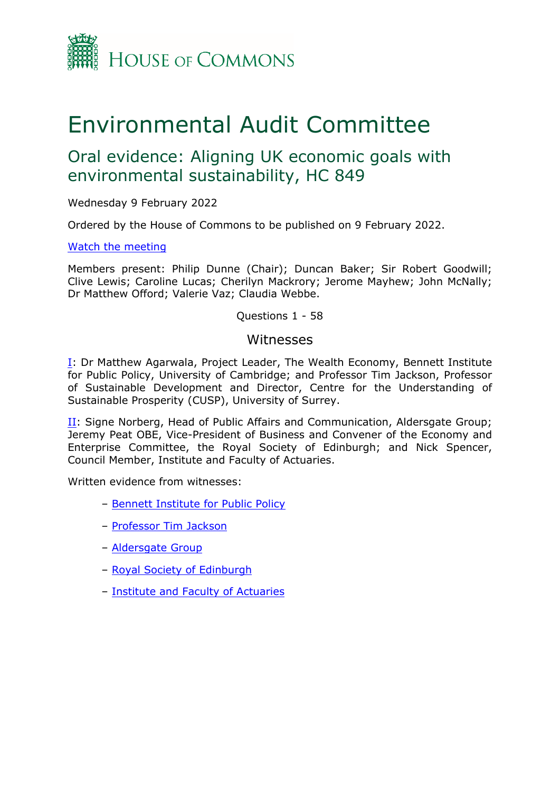

# Environmental Audit Committee

# Oral evidence: Aligning UK economic goals with environmental sustainability, HC 849

Wednesday 9 February 2022

Ordered by the House of Commons to be published on 9 February 2022.

#### [Watch](https://parliamentlive.tv/Event/Index/55879126-f51e-4854-92cf-1d5224d54e47) [the](https://parliamentlive.tv/Event/Index/55879126-f51e-4854-92cf-1d5224d54e47) [meeting](https://parliamentlive.tv/Event/Index/55879126-f51e-4854-92cf-1d5224d54e47)

Members present: Philip Dunne (Chair); Duncan Baker; Sir Robert Goodwill; Clive Lewis; Caroline Lucas; Cherilyn Mackrory; Jerome Mayhew; John McNally; Dr Matthew Offord; Valerie Vaz; Claudia Webbe.

#### Questions 1 - 58

#### Witnesses

[I:](#page-1-0) Dr Matthew Agarwala, Project Leader, The Wealth Economy, Bennett Institute for Public Policy, University of Cambridge; and Professor Tim Jackson, Professor of Sustainable Development and Director, Centre for the Understanding of Sustainable Prosperity (CUSP), University of Surrey.

[II](#page-22-0): Signe Norberg, Head of Public Affairs and Communication, Aldersgate Group; Jeremy Peat OBE, Vice-President of Business and Convener of the Economy and Enterprise Committee, the Royal Society of Edinburgh; and Nick Spencer, Council Member, Institute and Faculty of Actuaries.

Written evidence from witnesses:

- [Bennett](https://committees.parliament.uk/work/1668/aligning-the-uks-economic-goals-with-environmental-sustainability/publications/written-evidence/?SearchTerm=Bennett&DateFrom=&DateTo=&SessionId=) [Institute](https://committees.parliament.uk/work/1668/aligning-the-uks-economic-goals-with-environmental-sustainability/publications/written-evidence/?SearchTerm=Bennett&DateFrom=&DateTo=&SessionId=) [for](https://committees.parliament.uk/work/1668/aligning-the-uks-economic-goals-with-environmental-sustainability/publications/written-evidence/?SearchTerm=Bennett&DateFrom=&DateTo=&SessionId=) [Public](https://committees.parliament.uk/work/1668/aligning-the-uks-economic-goals-with-environmental-sustainability/publications/written-evidence/?SearchTerm=Bennett&DateFrom=&DateTo=&SessionId=) [Policy](https://committees.parliament.uk/work/1668/aligning-the-uks-economic-goals-with-environmental-sustainability/publications/written-evidence/?SearchTerm=Bennett&DateFrom=&DateTo=&SessionId=)
- [Professor](https://committees.parliament.uk/work/1668/aligning-the-uks-economic-goals-with-environmental-sustainability/publications/written-evidence/?SearchTerm=Surrey&DateFrom=&DateTo=&SessionId=) [Tim](https://committees.parliament.uk/work/1668/aligning-the-uks-economic-goals-with-environmental-sustainability/publications/written-evidence/?SearchTerm=Surrey&DateFrom=&DateTo=&SessionId=) [Jackson](https://committees.parliament.uk/work/1668/aligning-the-uks-economic-goals-with-environmental-sustainability/publications/written-evidence/?SearchTerm=Surrey&DateFrom=&DateTo=&SessionId=)
- [Aldersgate](https://committees.parliament.uk/work/1668/aligning-the-uks-economic-goals-with-environmental-sustainability/publications/written-evidence/?SearchTerm=Aldersgate&DateFrom=&DateTo=&SessionId=) [Group](https://committees.parliament.uk/work/1668/aligning-the-uks-economic-goals-with-environmental-sustainability/publications/written-evidence/?SearchTerm=Aldersgate&DateFrom=&DateTo=&SessionId=)
- [Royal](https://committees.parliament.uk/work/1668/aligning-the-uks-economic-goals-with-environmental-sustainability/publications/written-evidence/?SearchTerm=Edinburgh&DateFrom=&DateTo=&SessionId=) [Society](https://committees.parliament.uk/work/1668/aligning-the-uks-economic-goals-with-environmental-sustainability/publications/written-evidence/?SearchTerm=Edinburgh&DateFrom=&DateTo=&SessionId=) [of](https://committees.parliament.uk/work/1668/aligning-the-uks-economic-goals-with-environmental-sustainability/publications/written-evidence/?SearchTerm=Edinburgh&DateFrom=&DateTo=&SessionId=) [Edinburgh](https://committees.parliament.uk/work/1668/aligning-the-uks-economic-goals-with-environmental-sustainability/publications/written-evidence/?SearchTerm=Edinburgh&DateFrom=&DateTo=&SessionId=)
- [Institute](https://committees.parliament.uk/work/1668/aligning-the-uks-economic-goals-with-environmental-sustainability/publications/written-evidence/?SearchTerm=Institute+and+Faculty+of+Actuaries&DateFrom=&DateTo=&SessionId=) [and](https://committees.parliament.uk/work/1668/aligning-the-uks-economic-goals-with-environmental-sustainability/publications/written-evidence/?SearchTerm=Institute+and+Faculty+of+Actuaries&DateFrom=&DateTo=&SessionId=) [Faculty](https://committees.parliament.uk/work/1668/aligning-the-uks-economic-goals-with-environmental-sustainability/publications/written-evidence/?SearchTerm=Institute+and+Faculty+of+Actuaries&DateFrom=&DateTo=&SessionId=) [of](https://committees.parliament.uk/work/1668/aligning-the-uks-economic-goals-with-environmental-sustainability/publications/written-evidence/?SearchTerm=Institute+and+Faculty+of+Actuaries&DateFrom=&DateTo=&SessionId=) [Actuaries](https://committees.parliament.uk/work/1668/aligning-the-uks-economic-goals-with-environmental-sustainability/publications/written-evidence/?SearchTerm=Institute+and+Faculty+of+Actuaries&DateFrom=&DateTo=&SessionId=)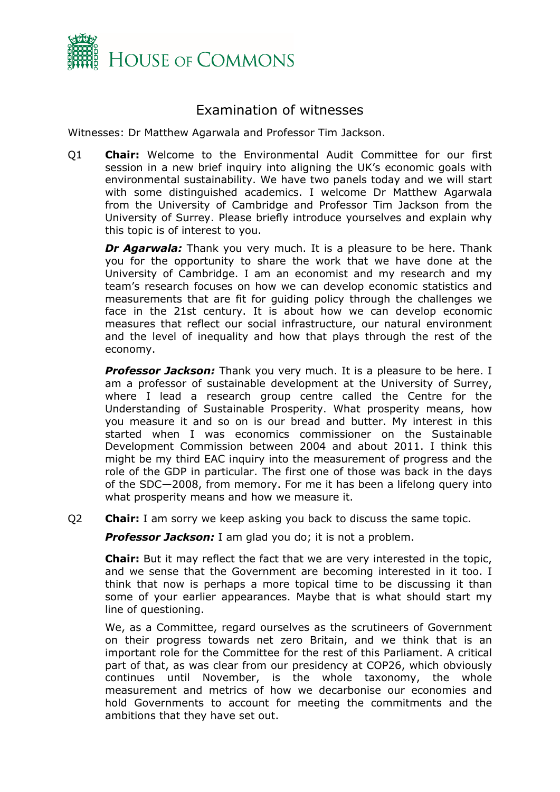

## <span id="page-1-0"></span>Examination of witnesses

Witnesses: Dr Matthew Agarwala and Professor Tim Jackson.

Q1 **Chair:** Welcome to the Environmental Audit Committee for our first session in a new brief inquiry into aligning the UK's economic goals with environmental sustainability. We have two panels today and we will start with some distinguished academics. I welcome Dr Matthew Agarwala from the University of Cambridge and Professor Tim Jackson from the University of Surrey. Please briefly introduce yourselves and explain why this topic is of interest to you.

*Dr Agarwala:* Thank you very much. It is a pleasure to be here. Thank you for the opportunity to share the work that we have done at the University of Cambridge. I am an economist and my research and my team's research focuses on how we can develop economic statistics and measurements that are fit for guiding policy through the challenges we face in the 21st century. It is about how we can develop economic measures that reflect our social infrastructure, our natural environment and the level of inequality and how that plays through the rest of the economy.

*Professor Jackson:* Thank you very much. It is a pleasure to be here. I am a professor of sustainable development at the University of Surrey, where I lead a research group centre called the Centre for the Understanding of Sustainable Prosperity. What prosperity means, how you measure it and so on is our bread and butter. My interest in this started when I was economics commissioner on the Sustainable Development Commission between 2004 and about 2011. I think this might be my third EAC inquiry into the measurement of progress and the role of the GDP in particular. The first one of those was back in the days of the SDC—2008, from memory. For me it has been a lifelong query into what prosperity means and how we measure it.

Q2 **Chair:** I am sorry we keep asking you back to discuss the same topic.

*Professor Jackson:* I am glad you do; it is not a problem.

**Chair:** But it may reflect the fact that we are very interested in the topic, and we sense that the Government are becoming interested in it too. I think that now is perhaps a more topical time to be discussing it than some of your earlier appearances. Maybe that is what should start my line of questioning.

We, as a Committee, regard ourselves as the scrutineers of Government on their progress towards net zero Britain, and we think that is an important role for the Committee for the rest of this Parliament. A critical part of that, as was clear from our presidency at COP26, which obviously continues until November, is the whole taxonomy, the whole measurement and metrics of how we decarbonise our economies and hold Governments to account for meeting the commitments and the ambitions that they have set out.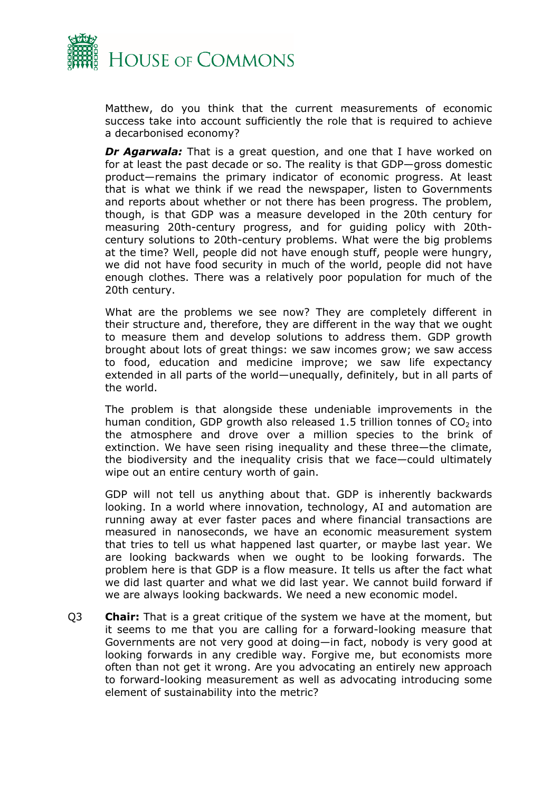

Matthew, do you think that the current measurements of economic success take into account sufficiently the role that is required to achieve a decarbonised economy?

*Dr Agarwala:* That is a great question, and one that I have worked on for at least the past decade or so. The reality is that GDP—gross domestic product—remains the primary indicator of economic progress. At least that is what we think if we read the newspaper, listen to Governments and reports about whether or not there has been progress. The problem, though, is that GDP was a measure developed in the 20th century for measuring 20th-century progress, and for guiding policy with 20thcentury solutions to 20th-century problems. What were the big problems at the time? Well, people did not have enough stuff, people were hungry, we did not have food security in much of the world, people did not have enough clothes. There was a relatively poor population for much of the 20th century.

What are the problems we see now? They are completely different in their structure and, therefore, they are different in the way that we ought to measure them and develop solutions to address them. GDP growth brought about lots of great things: we saw incomes grow; we saw access to food, education and medicine improve; we saw life expectancy extended in all parts of the world—unequally, definitely, but in all parts of the world.

The problem is that alongside these undeniable improvements in the human condition, GDP growth also released 1.5 trillion tonnes of  $CO<sub>2</sub>$  into the atmosphere and drove over a million species to the brink of extinction. We have seen rising inequality and these three—the climate, the biodiversity and the inequality crisis that we face—could ultimately wipe out an entire century worth of gain.

GDP will not tell us anything about that. GDP is inherently backwards looking. In a world where innovation, technology, AI and automation are running away at ever faster paces and where financial transactions are measured in nanoseconds, we have an economic measurement system that tries to tell us what happened last quarter, or maybe last year. We are looking backwards when we ought to be looking forwards. The problem here is that GDP is a flow measure. It tells us after the fact what we did last quarter and what we did last year. We cannot build forward if we are always looking backwards. We need a new economic model.

Q3 **Chair:** That is a great critique of the system we have at the moment, but it seems to me that you are calling for a forward-looking measure that Governments are not very good at doing—in fact, nobody is very good at looking forwards in any credible way. Forgive me, but economists more often than not get it wrong. Are you advocating an entirely new approach to forward-looking measurement as well as advocating introducing some element of sustainability into the metric?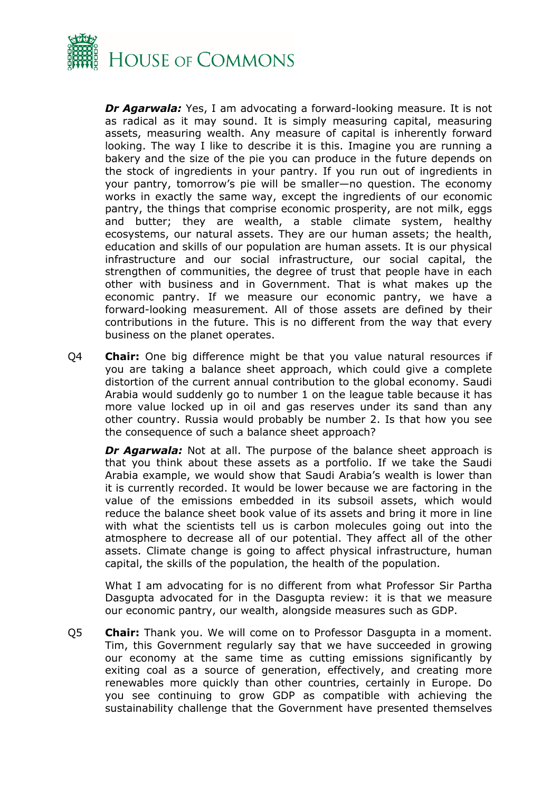

*Dr Agarwala:* Yes, I am advocating a forward-looking measure. It is not as radical as it may sound. It is simply measuring capital, measuring assets, measuring wealth. Any measure of capital is inherently forward looking. The way I like to describe it is this. Imagine you are running a bakery and the size of the pie you can produce in the future depends on the stock of ingredients in your pantry. If you run out of ingredients in your pantry, tomorrow's pie will be smaller—no question. The economy works in exactly the same way, except the ingredients of our economic pantry, the things that comprise economic prosperity, are not milk, eggs and butter; they are wealth, a stable climate system, healthy ecosystems, our natural assets. They are our human assets; the health, education and skills of our population are human assets. It is our physical infrastructure and our social infrastructure, our social capital, the strengthen of communities, the degree of trust that people have in each other with business and in Government. That is what makes up the economic pantry. If we measure our economic pantry, we have a forward-looking measurement. All of those assets are defined by their contributions in the future. This is no different from the way that every business on the planet operates.

Q4 **Chair:** One big difference might be that you value natural resources if you are taking a balance sheet approach, which could give a complete distortion of the current annual contribution to the global economy. Saudi Arabia would suddenly go to number 1 on the league table because it has more value locked up in oil and gas reserves under its sand than any other country. Russia would probably be number 2. Is that how you see the consequence of such a balance sheet approach?

*Dr Agarwala:* Not at all. The purpose of the balance sheet approach is that you think about these assets as a portfolio. If we take the Saudi Arabia example, we would show that Saudi Arabia's wealth is lower than it is currently recorded. It would be lower because we are factoring in the value of the emissions embedded in its subsoil assets, which would reduce the balance sheet book value of its assets and bring it more in line with what the scientists tell us is carbon molecules going out into the atmosphere to decrease all of our potential. They affect all of the other assets. Climate change is going to affect physical infrastructure, human capital, the skills of the population, the health of the population.

What I am advocating for is no different from what Professor Sir Partha Dasgupta advocated for in the Dasgupta review: it is that we measure our economic pantry, our wealth, alongside measures such as GDP.

Q5 **Chair:** Thank you. We will come on to Professor Dasgupta in a moment. Tim, this Government regularly say that we have succeeded in growing our economy at the same time as cutting emissions significantly by exiting coal as a source of generation, effectively, and creating more renewables more quickly than other countries, certainly in Europe. Do you see continuing to grow GDP as compatible with achieving the sustainability challenge that the Government have presented themselves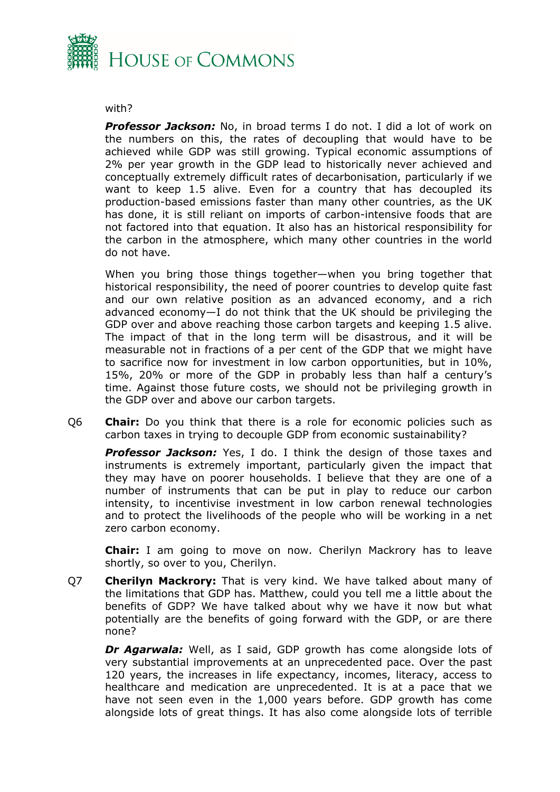

#### with?

*Professor Jackson:* No, in broad terms I do not. I did a lot of work on the numbers on this, the rates of decoupling that would have to be achieved while GDP was still growing. Typical economic assumptions of 2% per year growth in the GDP lead to historically never achieved and conceptually extremely difficult rates of decarbonisation, particularly if we want to keep 1.5 alive. Even for a country that has decoupled its production-based emissions faster than many other countries, as the UK has done, it is still reliant on imports of carbon-intensive foods that are not factored into that equation. It also has an historical responsibility for the carbon in the atmosphere, which many other countries in the world do not have.

When you bring those things together—when you bring together that historical responsibility, the need of poorer countries to develop quite fast and our own relative position as an advanced economy, and a rich advanced economy—I do not think that the UK should be privileging the GDP over and above reaching those carbon targets and keeping 1.5 alive. The impact of that in the long term will be disastrous, and it will be measurable not in fractions of a per cent of the GDP that we might have to sacrifice now for investment in low carbon opportunities, but in 10%, 15%, 20% or more of the GDP in probably less than half a century's time. Against those future costs, we should not be privileging growth in the GDP over and above our carbon targets.

Q6 **Chair:** Do you think that there is a role for economic policies such as carbon taxes in trying to decouple GDP from economic sustainability?

*Professor Jackson:* Yes, I do. I think the design of those taxes and instruments is extremely important, particularly given the impact that they may have on poorer households. I believe that they are one of a number of instruments that can be put in play to reduce our carbon intensity, to incentivise investment in low carbon renewal technologies and to protect the livelihoods of the people who will be working in a net zero carbon economy.

**Chair:** I am going to move on now. Cherilyn Mackrory has to leave shortly, so over to you, Cherilyn.

Q7 **Cherilyn Mackrory:** That is very kind. We have talked about many of the limitations that GDP has. Matthew, could you tell me a little about the benefits of GDP? We have talked about why we have it now but what potentially are the benefits of going forward with the GDP, or are there none?

*Dr Agarwala:* Well, as I said, GDP growth has come alongside lots of very substantial improvements at an unprecedented pace. Over the past 120 years, the increases in life expectancy, incomes, literacy, access to healthcare and medication are unprecedented. It is at a pace that we have not seen even in the 1,000 years before. GDP growth has come alongside lots of great things. It has also come alongside lots of terrible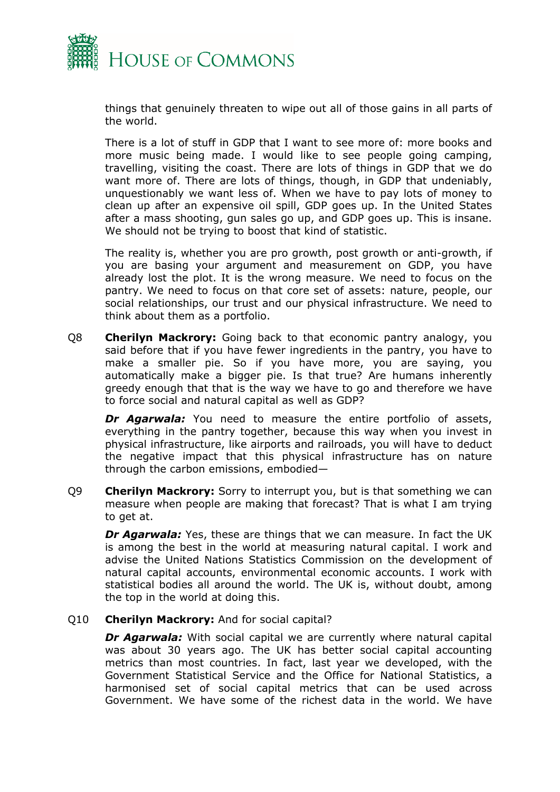

things that genuinely threaten to wipe out all of those gains in all parts of the world.

There is a lot of stuff in GDP that I want to see more of: more books and more music being made. I would like to see people going camping, travelling, visiting the coast. There are lots of things in GDP that we do want more of. There are lots of things, though, in GDP that undeniably, unquestionably we want less of. When we have to pay lots of money to clean up after an expensive oil spill, GDP goes up. In the United States after a mass shooting, gun sales go up, and GDP goes up. This is insane. We should not be trying to boost that kind of statistic.

The reality is, whether you are pro growth, post growth or anti-growth, if you are basing your argument and measurement on GDP, you have already lost the plot. It is the wrong measure. We need to focus on the pantry. We need to focus on that core set of assets: nature, people, our social relationships, our trust and our physical infrastructure. We need to think about them as a portfolio.

Q8 **Cherilyn Mackrory:** Going back to that economic pantry analogy, you said before that if you have fewer ingredients in the pantry, you have to make a smaller pie. So if you have more, you are saying, you automatically make a bigger pie. Is that true? Are humans inherently greedy enough that that is the way we have to go and therefore we have to force social and natural capital as well as GDP?

*Dr Agarwala:* You need to measure the entire portfolio of assets, everything in the pantry together, because this way when you invest in physical infrastructure, like airports and railroads, you will have to deduct the negative impact that this physical infrastructure has on nature through the carbon emissions, embodied—

Q9 **Cherilyn Mackrory:** Sorry to interrupt you, but is that something we can measure when people are making that forecast? That is what I am trying to get at.

*Dr Agarwala:* Yes, these are things that we can measure. In fact the UK is among the best in the world at measuring natural capital. I work and advise the United Nations Statistics Commission on the development of natural capital accounts, environmental economic accounts. I work with statistical bodies all around the world. The UK is, without doubt, among the top in the world at doing this.

#### Q10 **Cherilyn Mackrory:** And for social capital?

*Dr Agarwala:* With social capital we are currently where natural capital was about 30 years ago. The UK has better social capital accounting metrics than most countries. In fact, last year we developed, with the Government Statistical Service and the Office for National Statistics, a harmonised set of social capital metrics that can be used across Government. We have some of the richest data in the world. We have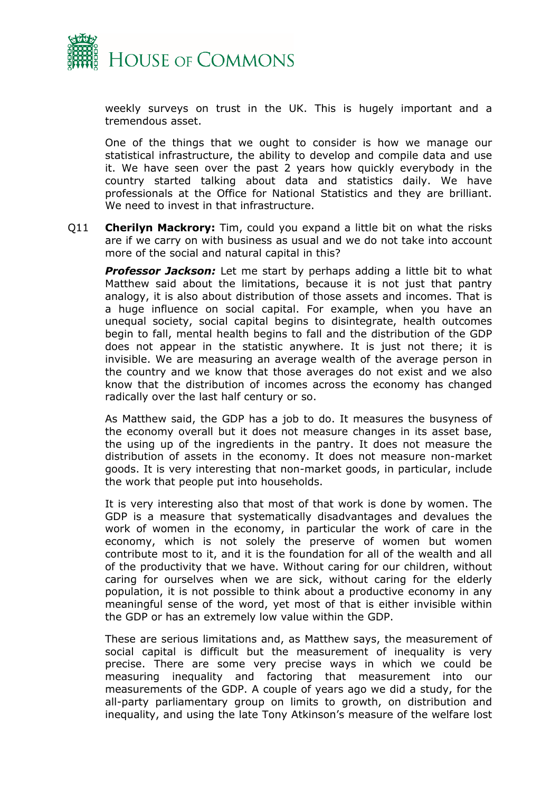

weekly surveys on trust in the UK. This is hugely important and a tremendous asset.

One of the things that we ought to consider is how we manage our statistical infrastructure, the ability to develop and compile data and use it. We have seen over the past 2 years how quickly everybody in the country started talking about data and statistics daily. We have professionals at the Office for National Statistics and they are brilliant. We need to invest in that infrastructure.

Q11 **Cherilyn Mackrory:** Tim, could you expand a little bit on what the risks are if we carry on with business as usual and we do not take into account more of the social and natural capital in this?

*Professor Jackson:* Let me start by perhaps adding a little bit to what Matthew said about the limitations, because it is not just that pantry analogy, it is also about distribution of those assets and incomes. That is a huge influence on social capital. For example, when you have an unequal society, social capital begins to disintegrate, health outcomes begin to fall, mental health begins to fall and the distribution of the GDP does not appear in the statistic anywhere. It is just not there; it is invisible. We are measuring an average wealth of the average person in the country and we know that those averages do not exist and we also know that the distribution of incomes across the economy has changed radically over the last half century or so.

As Matthew said, the GDP has a job to do. It measures the busyness of the economy overall but it does not measure changes in its asset base, the using up of the ingredients in the pantry. It does not measure the distribution of assets in the economy. It does not measure non-market goods. It is very interesting that non-market goods, in particular, include the work that people put into households.

It is very interesting also that most of that work is done by women. The GDP is a measure that systematically disadvantages and devalues the work of women in the economy, in particular the work of care in the economy, which is not solely the preserve of women but women contribute most to it, and it is the foundation for all of the wealth and all of the productivity that we have. Without caring for our children, without caring for ourselves when we are sick, without caring for the elderly population, it is not possible to think about a productive economy in any meaningful sense of the word, yet most of that is either invisible within the GDP or has an extremely low value within the GDP.

These are serious limitations and, as Matthew says, the measurement of social capital is difficult but the measurement of inequality is very precise. There are some very precise ways in which we could be measuring inequality and factoring that measurement into our measurements of the GDP. A couple of years ago we did a study, for the all-party parliamentary group on limits to growth, on distribution and inequality, and using the late Tony Atkinson's measure of the welfare lost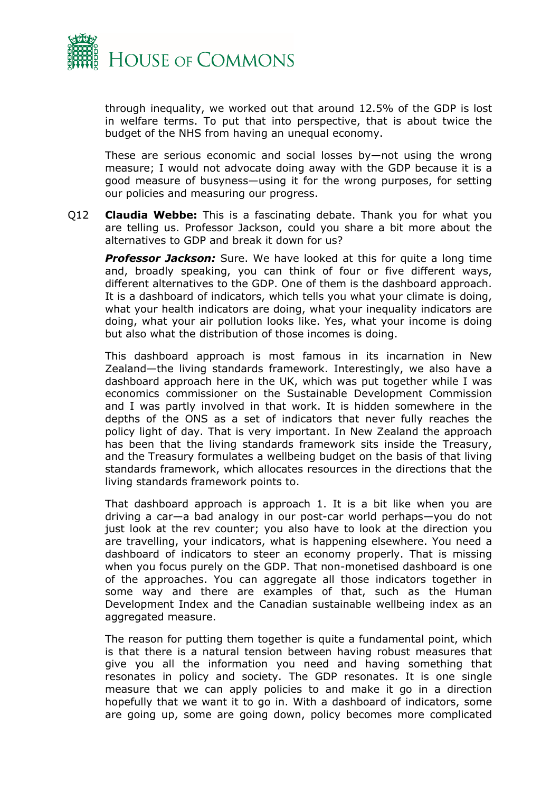

through inequality, we worked out that around 12.5% of the GDP is lost in welfare terms. To put that into perspective, that is about twice the budget of the NHS from having an unequal economy.

These are serious economic and social losses by—not using the wrong measure; I would not advocate doing away with the GDP because it is a good measure of busyness—using it for the wrong purposes, for setting our policies and measuring our progress.

Q12 **Claudia Webbe:** This is a fascinating debate. Thank you for what you are telling us. Professor Jackson, could you share a bit more about the alternatives to GDP and break it down for us?

**Professor Jackson:** Sure. We have looked at this for quite a long time and, broadly speaking, you can think of four or five different ways, different alternatives to the GDP. One of them is the dashboard approach. It is a dashboard of indicators, which tells you what your climate is doing, what your health indicators are doing, what your inequality indicators are doing, what your air pollution looks like. Yes, what your income is doing but also what the distribution of those incomes is doing.

This dashboard approach is most famous in its incarnation in New Zealand—the living standards framework. Interestingly, we also have a dashboard approach here in the UK, which was put together while I was economics commissioner on the Sustainable Development Commission and I was partly involved in that work. It is hidden somewhere in the depths of the ONS as a set of indicators that never fully reaches the policy light of day. That is very important. In New Zealand the approach has been that the living standards framework sits inside the Treasury, and the Treasury formulates a wellbeing budget on the basis of that living standards framework, which allocates resources in the directions that the living standards framework points to.

That dashboard approach is approach 1. It is a bit like when you are driving a car—a bad analogy in our post-car world perhaps—you do not just look at the rev counter; you also have to look at the direction you are travelling, your indicators, what is happening elsewhere. You need a dashboard of indicators to steer an economy properly. That is missing when you focus purely on the GDP. That non-monetised dashboard is one of the approaches. You can aggregate all those indicators together in some way and there are examples of that, such as the Human Development Index and the Canadian sustainable wellbeing index as an aggregated measure.

The reason for putting them together is quite a fundamental point, which is that there is a natural tension between having robust measures that give you all the information you need and having something that resonates in policy and society. The GDP resonates. It is one single measure that we can apply policies to and make it go in a direction hopefully that we want it to go in. With a dashboard of indicators, some are going up, some are going down, policy becomes more complicated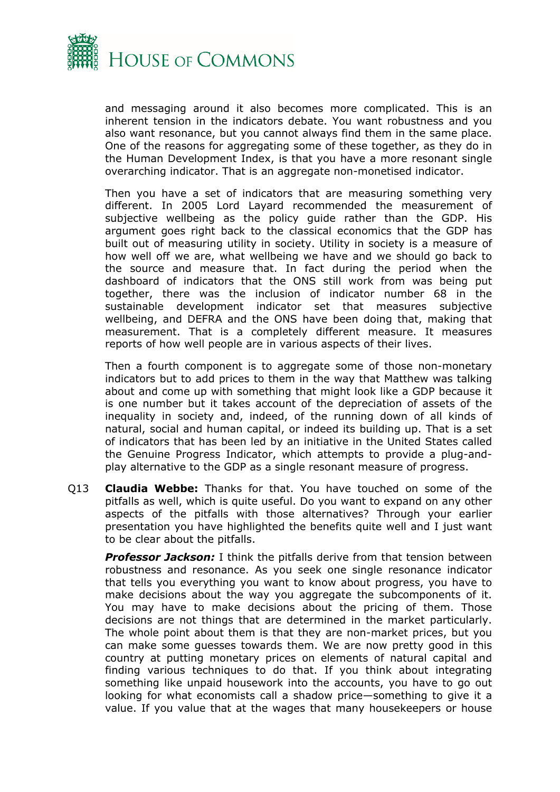

and messaging around it also becomes more complicated. This is an inherent tension in the indicators debate. You want robustness and you also want resonance, but you cannot always find them in the same place. One of the reasons for aggregating some of these together, as they do in the Human Development Index, is that you have a more resonant single overarching indicator. That is an aggregate non-monetised indicator.

Then you have a set of indicators that are measuring something very different. In 2005 Lord Layard recommended the measurement of subjective wellbeing as the policy guide rather than the GDP. His argument goes right back to the classical economics that the GDP has built out of measuring utility in society. Utility in society is a measure of how well off we are, what wellbeing we have and we should go back to the source and measure that. In fact during the period when the dashboard of indicators that the ONS still work from was being put together, there was the inclusion of indicator number 68 in the sustainable development indicator set that measures subjective wellbeing, and DEFRA and the ONS have been doing that, making that measurement. That is a completely different measure. It measures reports of how well people are in various aspects of their lives.

Then a fourth component is to aggregate some of those non-monetary indicators but to add prices to them in the way that Matthew was talking about and come up with something that might look like a GDP because it is one number but it takes account of the depreciation of assets of the inequality in society and, indeed, of the running down of all kinds of natural, social and human capital, or indeed its building up. That is a set of indicators that has been led by an initiative in the United States called the Genuine Progress Indicator, which attempts to provide a plug-andplay alternative to the GDP as a single resonant measure of progress.

Q13 **Claudia Webbe:** Thanks for that. You have touched on some of the pitfalls as well, which is quite useful. Do you want to expand on any other aspects of the pitfalls with those alternatives? Through your earlier presentation you have highlighted the benefits quite well and I just want to be clear about the pitfalls.

*Professor Jackson:* I think the pitfalls derive from that tension between robustness and resonance. As you seek one single resonance indicator that tells you everything you want to know about progress, you have to make decisions about the way you aggregate the subcomponents of it. You may have to make decisions about the pricing of them. Those decisions are not things that are determined in the market particularly. The whole point about them is that they are non-market prices, but you can make some guesses towards them. We are now pretty good in this country at putting monetary prices on elements of natural capital and finding various techniques to do that. If you think about integrating something like unpaid housework into the accounts, you have to go out looking for what economists call a shadow price—something to give it a value. If you value that at the wages that many housekeepers or house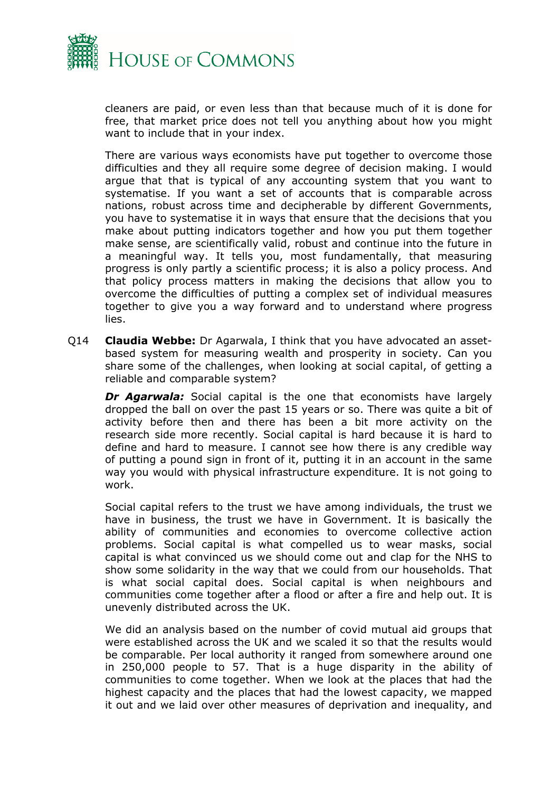

cleaners are paid, or even less than that because much of it is done for free, that market price does not tell you anything about how you might want to include that in your index.

There are various ways economists have put together to overcome those difficulties and they all require some degree of decision making. I would argue that that is typical of any accounting system that you want to systematise. If you want a set of accounts that is comparable across nations, robust across time and decipherable by different Governments, you have to systematise it in ways that ensure that the decisions that you make about putting indicators together and how you put them together make sense, are scientifically valid, robust and continue into the future in a meaningful way. It tells you, most fundamentally, that measuring progress is only partly a scientific process; it is also a policy process. And that policy process matters in making the decisions that allow you to overcome the difficulties of putting a complex set of individual measures together to give you a way forward and to understand where progress lies.

Q14 **Claudia Webbe:** Dr Agarwala, I think that you have advocated an assetbased system for measuring wealth and prosperity in society. Can you share some of the challenges, when looking at social capital, of getting a reliable and comparable system?

**Dr Agarwala:** Social capital is the one that economists have largely dropped the ball on over the past 15 years or so. There was quite a bit of activity before then and there has been a bit more activity on the research side more recently. Social capital is hard because it is hard to define and hard to measure. I cannot see how there is any credible way of putting a pound sign in front of it, putting it in an account in the same way you would with physical infrastructure expenditure. It is not going to work.

Social capital refers to the trust we have among individuals, the trust we have in business, the trust we have in Government. It is basically the ability of communities and economies to overcome collective action problems. Social capital is what compelled us to wear masks, social capital is what convinced us we should come out and clap for the NHS to show some solidarity in the way that we could from our households. That is what social capital does. Social capital is when neighbours and communities come together after a flood or after a fire and help out. It is unevenly distributed across the UK.

We did an analysis based on the number of covid mutual aid groups that were established across the UK and we scaled it so that the results would be comparable. Per local authority it ranged from somewhere around one in 250,000 people to 57. That is a huge disparity in the ability of communities to come together. When we look at the places that had the highest capacity and the places that had the lowest capacity, we mapped it out and we laid over other measures of deprivation and inequality, and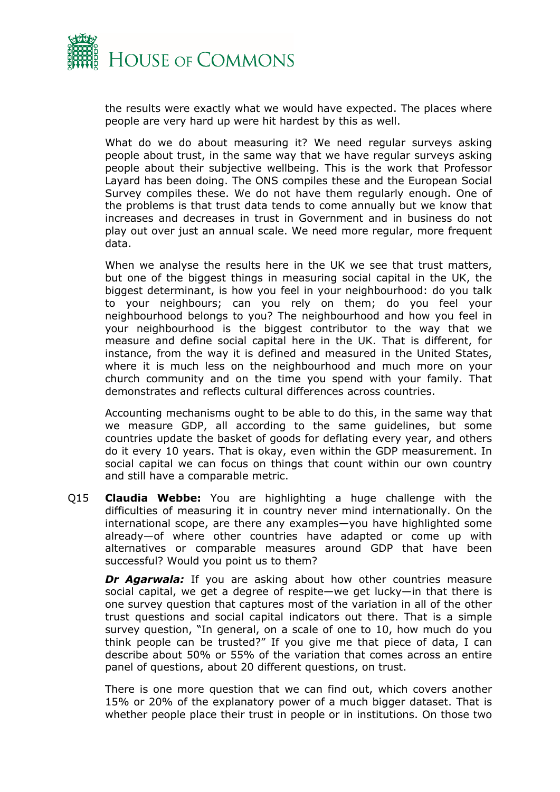

the results were exactly what we would have expected. The places where people are very hard up were hit hardest by this as well.

What do we do about measuring it? We need regular surveys asking people about trust, in the same way that we have regular surveys asking people about their subjective wellbeing. This is the work that Professor Layard has been doing. The ONS compiles these and the European Social Survey compiles these. We do not have them regularly enough. One of the problems is that trust data tends to come annually but we know that increases and decreases in trust in Government and in business do not play out over just an annual scale. We need more regular, more frequent data.

When we analyse the results here in the UK we see that trust matters, but one of the biggest things in measuring social capital in the UK, the biggest determinant, is how you feel in your neighbourhood: do you talk to your neighbours; can you rely on them; do you feel your neighbourhood belongs to you? The neighbourhood and how you feel in your neighbourhood is the biggest contributor to the way that we measure and define social capital here in the UK. That is different, for instance, from the way it is defined and measured in the United States, where it is much less on the neighbourhood and much more on your church community and on the time you spend with your family. That demonstrates and reflects cultural differences across countries.

Accounting mechanisms ought to be able to do this, in the same way that we measure GDP, all according to the same guidelines, but some countries update the basket of goods for deflating every year, and others do it every 10 years. That is okay, even within the GDP measurement. In social capital we can focus on things that count within our own country and still have a comparable metric.

Q15 **Claudia Webbe:** You are highlighting a huge challenge with the difficulties of measuring it in country never mind internationally. On the international scope, are there any examples—you have highlighted some already—of where other countries have adapted or come up with alternatives or comparable measures around GDP that have been successful? Would you point us to them?

**Dr Agarwala:** If you are asking about how other countries measure social capital, we get a degree of respite—we get lucky—in that there is one survey question that captures most of the variation in all of the other trust questions and social capital indicators out there. That is a simple survey question, "In general, on a scale of one to 10, how much do you think people can be trusted?" If you give me that piece of data, I can describe about 50% or 55% of the variation that comes across an entire panel of questions, about 20 different questions, on trust.

There is one more question that we can find out, which covers another 15% or 20% of the explanatory power of a much bigger dataset. That is whether people place their trust in people or in institutions. On those two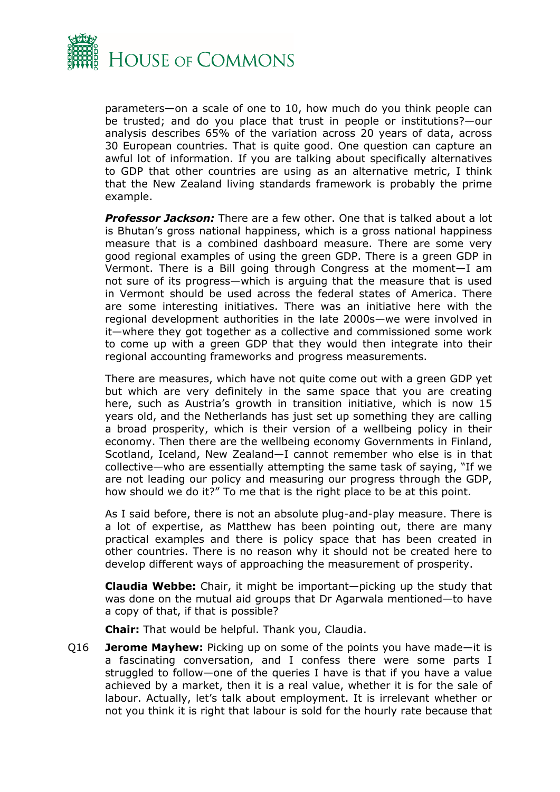

parameters—on a scale of one to 10, how much do you think people can be trusted; and do you place that trust in people or institutions?—our analysis describes 65% of the variation across 20 years of data, across 30 European countries. That is quite good. One question can capture an awful lot of information. If you are talking about specifically alternatives to GDP that other countries are using as an alternative metric, I think that the New Zealand living standards framework is probably the prime example.

*Professor Jackson:* There are a few other. One that is talked about a lot is Bhutan's gross national happiness, which is a gross national happiness measure that is a combined dashboard measure. There are some very good regional examples of using the green GDP. There is a green GDP in Vermont. There is a Bill going through Congress at the moment—I am not sure of its progress—which is arguing that the measure that is used in Vermont should be used across the federal states of America. There are some interesting initiatives. There was an initiative here with the regional development authorities in the late 2000s—we were involved in it—where they got together as a collective and commissioned some work to come up with a green GDP that they would then integrate into their regional accounting frameworks and progress measurements.

There are measures, which have not quite come out with a green GDP yet but which are very definitely in the same space that you are creating here, such as Austria's growth in transition initiative, which is now 15 years old, and the Netherlands has just set up something they are calling a broad prosperity, which is their version of a wellbeing policy in their economy. Then there are the wellbeing economy Governments in Finland, Scotland, Iceland, New Zealand—I cannot remember who else is in that collective—who are essentially attempting the same task of saying, "If we are not leading our policy and measuring our progress through the GDP, how should we do it?" To me that is the right place to be at this point.

As I said before, there is not an absolute plug-and-play measure. There is a lot of expertise, as Matthew has been pointing out, there are many practical examples and there is policy space that has been created in other countries. There is no reason why it should not be created here to develop different ways of approaching the measurement of prosperity.

**Claudia Webbe:** Chair, it might be important—picking up the study that was done on the mutual aid groups that Dr Agarwala mentioned—to have a copy of that, if that is possible?

**Chair:** That would be helpful. Thank you, Claudia.

Q16 **Jerome Mayhew:** Picking up on some of the points you have made—it is a fascinating conversation, and I confess there were some parts I struggled to follow—one of the queries I have is that if you have a value achieved by a market, then it is a real value, whether it is for the sale of labour. Actually, let's talk about employment. It is irrelevant whether or not you think it is right that labour is sold for the hourly rate because that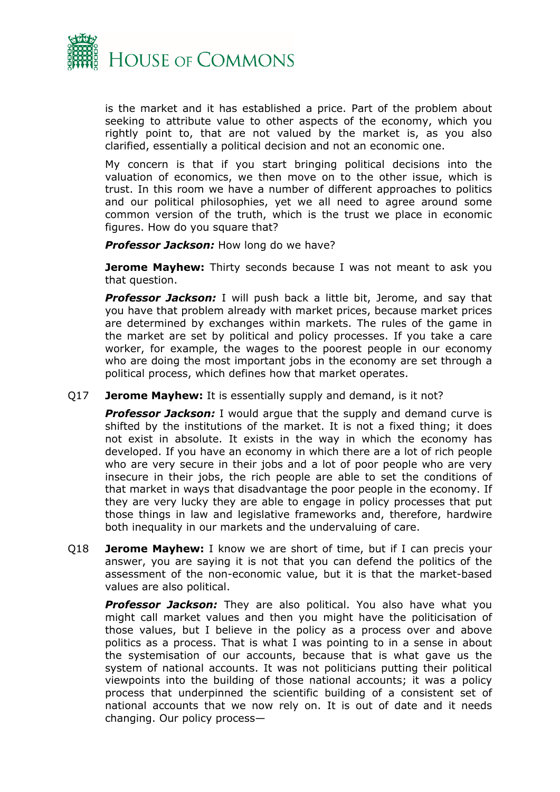

is the market and it has established a price. Part of the problem about seeking to attribute value to other aspects of the economy, which you rightly point to, that are not valued by the market is, as you also clarified, essentially a political decision and not an economic one.

My concern is that if you start bringing political decisions into the valuation of economics, we then move on to the other issue, which is trust. In this room we have a number of different approaches to politics and our political philosophies, yet we all need to agree around some common version of the truth, which is the trust we place in economic figures. How do you square that?

*Professor Jackson:* How long do we have?

**Jerome Mayhew:** Thirty seconds because I was not meant to ask you that question.

*Professor Jackson:* I will push back a little bit, Jerome, and say that you have that problem already with market prices, because market prices are determined by exchanges within markets. The rules of the game in the market are set by political and policy processes. If you take a care worker, for example, the wages to the poorest people in our economy who are doing the most important jobs in the economy are set through a political process, which defines how that market operates.

Q17 **Jerome Mayhew:** It is essentially supply and demand, is it not?

**Professor Jackson:** I would argue that the supply and demand curve is shifted by the institutions of the market. It is not a fixed thing; it does not exist in absolute. It exists in the way in which the economy has developed. If you have an economy in which there are a lot of rich people who are very secure in their jobs and a lot of poor people who are very insecure in their jobs, the rich people are able to set the conditions of that market in ways that disadvantage the poor people in the economy. If they are very lucky they are able to engage in policy processes that put those things in law and legislative frameworks and, therefore, hardwire both inequality in our markets and the undervaluing of care.

Q18 **Jerome Mayhew:** I know we are short of time, but if I can precis your answer, you are saying it is not that you can defend the politics of the assessment of the non-economic value, but it is that the market-based values are also political.

**Professor Jackson:** They are also political. You also have what you might call market values and then you might have the politicisation of those values, but I believe in the policy as a process over and above politics as a process. That is what I was pointing to in a sense in about the systemisation of our accounts, because that is what gave us the system of national accounts. It was not politicians putting their political viewpoints into the building of those national accounts; it was a policy process that underpinned the scientific building of a consistent set of national accounts that we now rely on. It is out of date and it needs changing. Our policy process—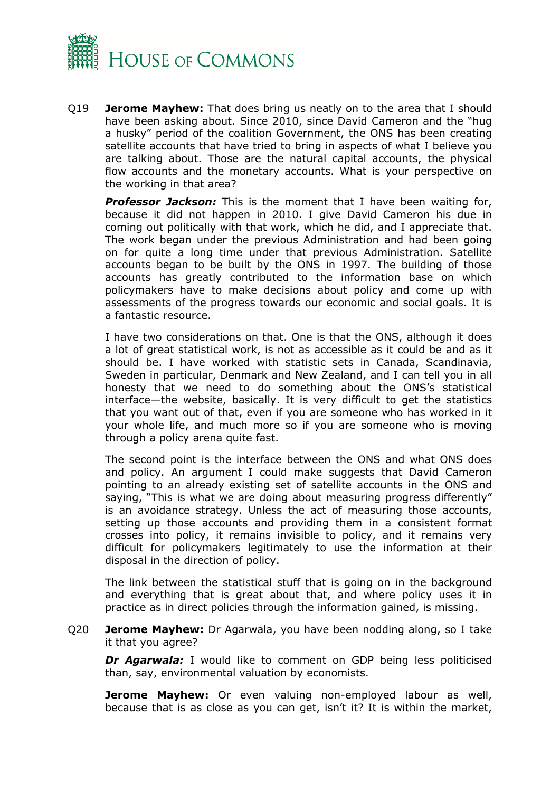

Q19 **Jerome Mayhew:** That does bring us neatly on to the area that I should have been asking about. Since 2010, since David Cameron and the "hug a husky" period of the coalition Government, the ONS has been creating satellite accounts that have tried to bring in aspects of what I believe you are talking about. Those are the natural capital accounts, the physical flow accounts and the monetary accounts. What is your perspective on the working in that area?

*Professor Jackson:* This is the moment that I have been waiting for, because it did not happen in 2010. I give David Cameron his due in coming out politically with that work, which he did, and I appreciate that. The work began under the previous Administration and had been going on for quite a long time under that previous Administration. Satellite accounts began to be built by the ONS in 1997. The building of those accounts has greatly contributed to the information base on which policymakers have to make decisions about policy and come up with assessments of the progress towards our economic and social goals. It is a fantastic resource.

I have two considerations on that. One is that the ONS, although it does a lot of great statistical work, is not as accessible as it could be and as it should be. I have worked with statistic sets in Canada, Scandinavia, Sweden in particular, Denmark and New Zealand, and I can tell you in all honesty that we need to do something about the ONS's statistical interface—the website, basically. It is very difficult to get the statistics that you want out of that, even if you are someone who has worked in it your whole life, and much more so if you are someone who is moving through a policy arena quite fast.

The second point is the interface between the ONS and what ONS does and policy. An argument I could make suggests that David Cameron pointing to an already existing set of satellite accounts in the ONS and saying, "This is what we are doing about measuring progress differently" is an avoidance strategy. Unless the act of measuring those accounts, setting up those accounts and providing them in a consistent format crosses into policy, it remains invisible to policy, and it remains very difficult for policymakers legitimately to use the information at their disposal in the direction of policy.

The link between the statistical stuff that is going on in the background and everything that is great about that, and where policy uses it in practice as in direct policies through the information gained, is missing.

Q20 **Jerome Mayhew:** Dr Agarwala, you have been nodding along, so I take it that you agree?

*Dr Agarwala:* I would like to comment on GDP being less politicised than, say, environmental valuation by economists.

**Jerome Mayhew:** Or even valuing non-employed labour as well, because that is as close as you can get, isn't it? It is within the market,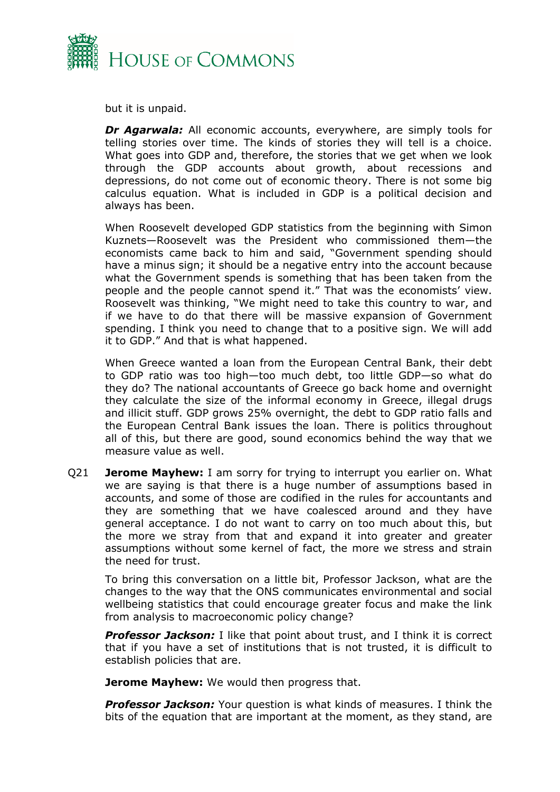

but it is unpaid.

*Dr Agarwala:* All economic accounts, everywhere, are simply tools for telling stories over time. The kinds of stories they will tell is a choice. What goes into GDP and, therefore, the stories that we get when we look through the GDP accounts about growth, about recessions and depressions, do not come out of economic theory. There is not some big calculus equation. What is included in GDP is a political decision and always has been.

When Roosevelt developed GDP statistics from the beginning with Simon Kuznets—Roosevelt was the President who commissioned them—the economists came back to him and said, "Government spending should have a minus sign; it should be a negative entry into the account because what the Government spends is something that has been taken from the people and the people cannot spend it." That was the economists' view. Roosevelt was thinking, "We might need to take this country to war, and if we have to do that there will be massive expansion of Government spending. I think you need to change that to a positive sign. We will add it to GDP." And that is what happened.

When Greece wanted a loan from the European Central Bank, their debt to GDP ratio was too high—too much debt, too little GDP—so what do they do? The national accountants of Greece go back home and overnight they calculate the size of the informal economy in Greece, illegal drugs and illicit stuff. GDP grows 25% overnight, the debt to GDP ratio falls and the European Central Bank issues the loan. There is politics throughout all of this, but there are good, sound economics behind the way that we measure value as well.

Q21 **Jerome Mayhew:** I am sorry for trying to interrupt you earlier on. What we are saying is that there is a huge number of assumptions based in accounts, and some of those are codified in the rules for accountants and they are something that we have coalesced around and they have general acceptance. I do not want to carry on too much about this, but the more we stray from that and expand it into greater and greater assumptions without some kernel of fact, the more we stress and strain the need for trust.

To bring this conversation on a little bit, Professor Jackson, what are the changes to the way that the ONS communicates environmental and social wellbeing statistics that could encourage greater focus and make the link from analysis to macroeconomic policy change?

**Professor Jackson:** I like that point about trust, and I think it is correct that if you have a set of institutions that is not trusted, it is difficult to establish policies that are.

**Jerome Mayhew:** We would then progress that.

*Professor Jackson:* Your question is what kinds of measures. I think the bits of the equation that are important at the moment, as they stand, are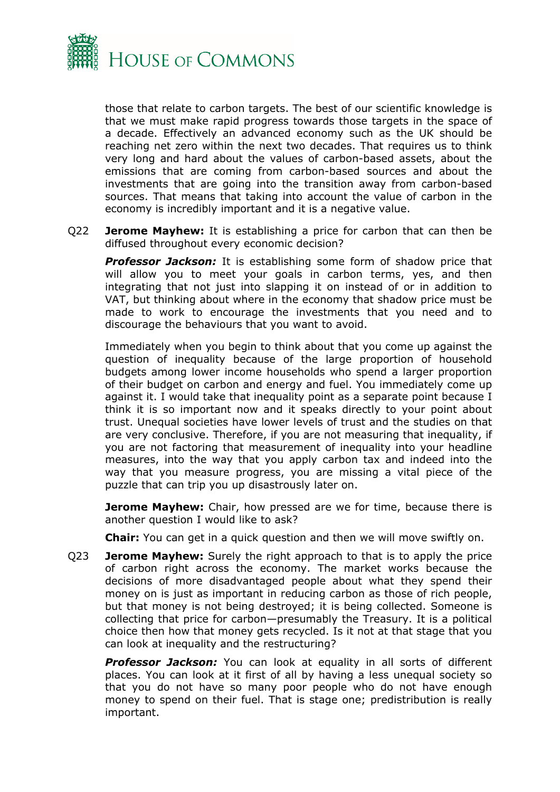

those that relate to carbon targets. The best of our scientific knowledge is that we must make rapid progress towards those targets in the space of a decade. Effectively an advanced economy such as the UK should be reaching net zero within the next two decades. That requires us to think very long and hard about the values of carbon-based assets, about the emissions that are coming from carbon-based sources and about the investments that are going into the transition away from carbon-based sources. That means that taking into account the value of carbon in the economy is incredibly important and it is a negative value.

Q22 **Jerome Mayhew:** It is establishing a price for carbon that can then be diffused throughout every economic decision?

*Professor Jackson:* It is establishing some form of shadow price that will allow you to meet your goals in carbon terms, yes, and then integrating that not just into slapping it on instead of or in addition to VAT, but thinking about where in the economy that shadow price must be made to work to encourage the investments that you need and to discourage the behaviours that you want to avoid.

Immediately when you begin to think about that you come up against the question of inequality because of the large proportion of household budgets among lower income households who spend a larger proportion of their budget on carbon and energy and fuel. You immediately come up against it. I would take that inequality point as a separate point because I think it is so important now and it speaks directly to your point about trust. Unequal societies have lower levels of trust and the studies on that are very conclusive. Therefore, if you are not measuring that inequality, if you are not factoring that measurement of inequality into your headline measures, into the way that you apply carbon tax and indeed into the way that you measure progress, you are missing a vital piece of the puzzle that can trip you up disastrously later on.

**Jerome Mayhew:** Chair, how pressed are we for time, because there is another question I would like to ask?

**Chair:** You can get in a quick question and then we will move swiftly on.

Q23 **Jerome Mayhew:** Surely the right approach to that is to apply the price of carbon right across the economy. The market works because the decisions of more disadvantaged people about what they spend their money on is just as important in reducing carbon as those of rich people, but that money is not being destroyed; it is being collected. Someone is collecting that price for carbon—presumably the Treasury. It is a political choice then how that money gets recycled. Is it not at that stage that you can look at inequality and the restructuring?

*Professor Jackson:* You can look at equality in all sorts of different places. You can look at it first of all by having a less unequal society so that you do not have so many poor people who do not have enough money to spend on their fuel. That is stage one; predistribution is really important.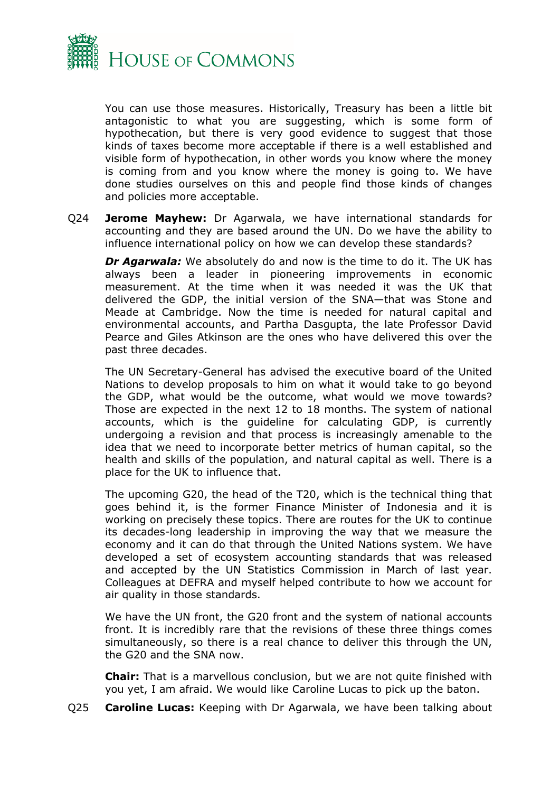

You can use those measures. Historically, Treasury has been a little bit antagonistic to what you are suggesting, which is some form of hypothecation, but there is very good evidence to suggest that those kinds of taxes become more acceptable if there is a well established and visible form of hypothecation, in other words you know where the money is coming from and you know where the money is going to. We have done studies ourselves on this and people find those kinds of changes and policies more acceptable.

Q24 **Jerome Mayhew:** Dr Agarwala, we have international standards for accounting and they are based around the UN. Do we have the ability to influence international policy on how we can develop these standards?

*Dr Agarwala:* We absolutely do and now is the time to do it. The UK has always been a leader in pioneering improvements in economic measurement. At the time when it was needed it was the UK that delivered the GDP, the initial version of the SNA—that was Stone and Meade at Cambridge. Now the time is needed for natural capital and environmental accounts, and Partha Dasgupta, the late Professor David Pearce and Giles Atkinson are the ones who have delivered this over the past three decades.

The UN Secretary-General has advised the executive board of the United Nations to develop proposals to him on what it would take to go beyond the GDP, what would be the outcome, what would we move towards? Those are expected in the next 12 to 18 months. The system of national accounts, which is the guideline for calculating GDP, is currently undergoing a revision and that process is increasingly amenable to the idea that we need to incorporate better metrics of human capital, so the health and skills of the population, and natural capital as well. There is a place for the UK to influence that.

The upcoming G20, the head of the T20, which is the technical thing that goes behind it, is the former Finance Minister of Indonesia and it is working on precisely these topics. There are routes for the UK to continue its decades-long leadership in improving the way that we measure the economy and it can do that through the United Nations system. We have developed a set of ecosystem accounting standards that was released and accepted by the UN Statistics Commission in March of last year. Colleagues at DEFRA and myself helped contribute to how we account for air quality in those standards.

We have the UN front, the G20 front and the system of national accounts front. It is incredibly rare that the revisions of these three things comes simultaneously, so there is a real chance to deliver this through the UN, the G20 and the SNA now.

**Chair:** That is a marvellous conclusion, but we are not quite finished with you yet, I am afraid. We would like Caroline Lucas to pick up the baton.

Q25 **Caroline Lucas:** Keeping with Dr Agarwala, we have been talking about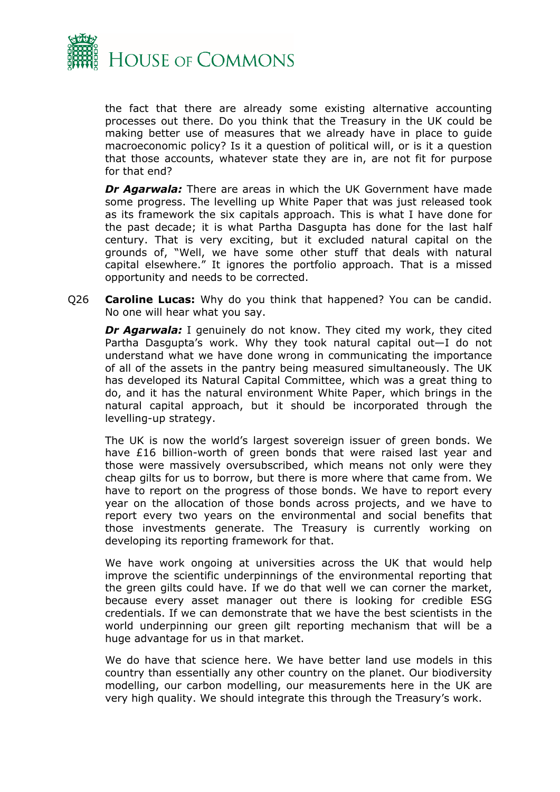

the fact that there are already some existing alternative accounting processes out there. Do you think that the Treasury in the UK could be making better use of measures that we already have in place to guide macroeconomic policy? Is it a question of political will, or is it a question that those accounts, whatever state they are in, are not fit for purpose for that end?

*Dr Agarwala:* There are areas in which the UK Government have made some progress. The levelling up White Paper that was just released took as its framework the six capitals approach. This is what I have done for the past decade; it is what Partha Dasgupta has done for the last half century. That is very exciting, but it excluded natural capital on the grounds of, "Well, we have some other stuff that deals with natural capital elsewhere." It ignores the portfolio approach. That is a missed opportunity and needs to be corrected.

Q26 **Caroline Lucas:** Why do you think that happened? You can be candid. No one will hear what you say.

*Dr Agarwala:* I genuinely do not know. They cited my work, they cited Partha Dasgupta's work. Why they took natural capital out—I do not understand what we have done wrong in communicating the importance of all of the assets in the pantry being measured simultaneously. The UK has developed its Natural Capital Committee, which was a great thing to do, and it has the natural environment White Paper, which brings in the natural capital approach, but it should be incorporated through the levelling-up strategy.

The UK is now the world's largest sovereign issuer of green bonds. We have £16 billion-worth of green bonds that were raised last year and those were massively oversubscribed, which means not only were they cheap gilts for us to borrow, but there is more where that came from. We have to report on the progress of those bonds. We have to report every year on the allocation of those bonds across projects, and we have to report every two years on the environmental and social benefits that those investments generate. The Treasury is currently working on developing its reporting framework for that.

We have work ongoing at universities across the UK that would help improve the scientific underpinnings of the environmental reporting that the green gilts could have. If we do that well we can corner the market, because every asset manager out there is looking for credible ESG credentials. If we can demonstrate that we have the best scientists in the world underpinning our green gilt reporting mechanism that will be a huge advantage for us in that market.

We do have that science here. We have better land use models in this country than essentially any other country on the planet. Our biodiversity modelling, our carbon modelling, our measurements here in the UK are very high quality. We should integrate this through the Treasury's work.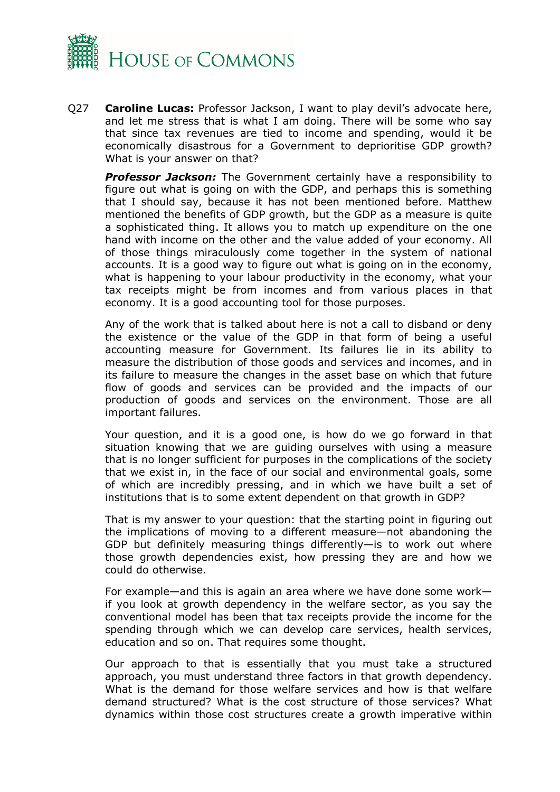

Q27 **Caroline Lucas:** Professor Jackson, I want to play devil's advocate here, and let me stress that is what I am doing. There will be some who say that since tax revenues are tied to income and spending, would it be economically disastrous for a Government to deprioritise GDP growth? What is your answer on that?

*Professor Jackson:* The Government certainly have a responsibility to figure out what is going on with the GDP, and perhaps this is something that I should say, because it has not been mentioned before. Matthew mentioned the benefits of GDP growth, but the GDP as a measure is quite a sophisticated thing. It allows you to match up expenditure on the one hand with income on the other and the value added of your economy. All of those things miraculously come together in the system of national accounts. It is a good way to figure out what is going on in the economy, what is happening to your labour productivity in the economy, what your tax receipts might be from incomes and from various places in that economy. It is a good accounting tool for those purposes.

Any of the work that is talked about here is not a call to disband or deny the existence or the value of the GDP in that form of being a useful accounting measure for Government. Its failures lie in its ability to measure the distribution of those goods and services and incomes, and in its failure to measure the changes in the asset base on which that future flow of goods and services can be provided and the impacts of our production of goods and services on the environment. Those are all important failures.

Your question, and it is a good one, is how do we go forward in that situation knowing that we are guiding ourselves with using a measure that is no longer sufficient for purposes in the complications of the society that we exist in, in the face of our social and environmental goals, some of which are incredibly pressing, and in which we have built a set of institutions that is to some extent dependent on that growth in GDP?

That is my answer to your question: that the starting point in figuring out the implications of moving to a different measure—not abandoning the GDP but definitely measuring things differently—is to work out where those growth dependencies exist, how pressing they are and how we could do otherwise.

For example—and this is again an area where we have done some work if you look at growth dependency in the welfare sector, as you say the conventional model has been that tax receipts provide the income for the spending through which we can develop care services, health services, education and so on. That requires some thought.

Our approach to that is essentially that you must take a structured approach, you must understand three factors in that growth dependency. What is the demand for those welfare services and how is that welfare demand structured? What is the cost structure of those services? What dynamics within those cost structures create a growth imperative within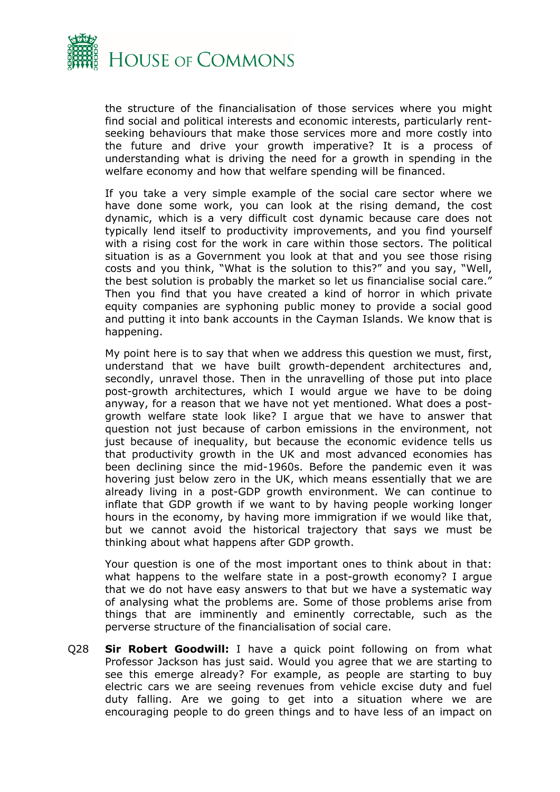

the structure of the financialisation of those services where you might find social and political interests and economic interests, particularly rentseeking behaviours that make those services more and more costly into the future and drive your growth imperative? It is a process of understanding what is driving the need for a growth in spending in the welfare economy and how that welfare spending will be financed.

If you take a very simple example of the social care sector where we have done some work, you can look at the rising demand, the cost dynamic, which is a very difficult cost dynamic because care does not typically lend itself to productivity improvements, and you find yourself with a rising cost for the work in care within those sectors. The political situation is as a Government you look at that and you see those rising costs and you think, "What is the solution to this?" and you say, "Well, the best solution is probably the market so let us financialise social care." Then you find that you have created a kind of horror in which private equity companies are syphoning public money to provide a social good and putting it into bank accounts in the Cayman Islands. We know that is happening.

My point here is to say that when we address this question we must, first, understand that we have built growth-dependent architectures and, secondly, unravel those. Then in the unravelling of those put into place post-growth architectures, which I would argue we have to be doing anyway, for a reason that we have not yet mentioned. What does a postgrowth welfare state look like? I argue that we have to answer that question not just because of carbon emissions in the environment, not just because of inequality, but because the economic evidence tells us that productivity growth in the UK and most advanced economies has been declining since the mid-1960s. Before the pandemic even it was hovering just below zero in the UK, which means essentially that we are already living in a post-GDP growth environment. We can continue to inflate that GDP growth if we want to by having people working longer hours in the economy, by having more immigration if we would like that, but we cannot avoid the historical trajectory that says we must be thinking about what happens after GDP growth.

Your question is one of the most important ones to think about in that: what happens to the welfare state in a post-growth economy? I argue that we do not have easy answers to that but we have a systematic way of analysing what the problems are. Some of those problems arise from things that are imminently and eminently correctable, such as the perverse structure of the financialisation of social care.

Q28 **Sir Robert Goodwill:** I have a quick point following on from what Professor Jackson has just said. Would you agree that we are starting to see this emerge already? For example, as people are starting to buy electric cars we are seeing revenues from vehicle excise duty and fuel duty falling. Are we going to get into a situation where we are encouraging people to do green things and to have less of an impact on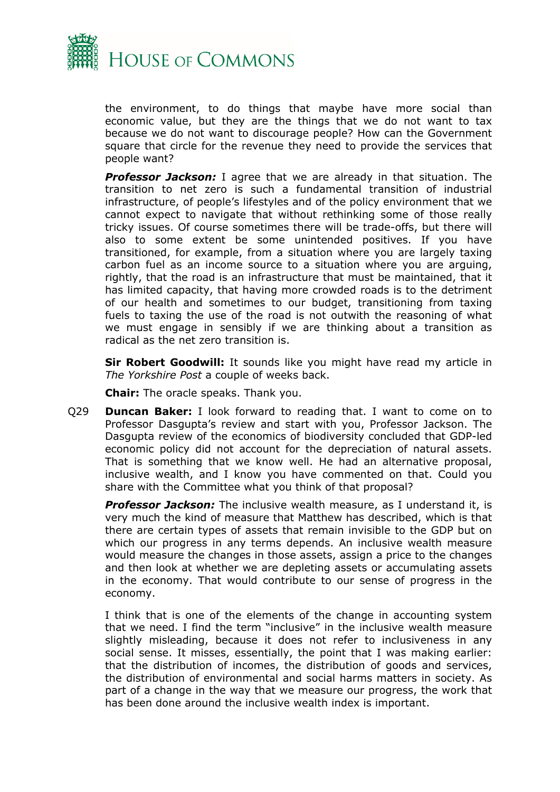

the environment, to do things that maybe have more social than economic value, but they are the things that we do not want to tax because we do not want to discourage people? How can the Government square that circle for the revenue they need to provide the services that people want?

*Professor Jackson:* I agree that we are already in that situation. The transition to net zero is such a fundamental transition of industrial infrastructure, of people's lifestyles and of the policy environment that we cannot expect to navigate that without rethinking some of those really tricky issues. Of course sometimes there will be trade-offs, but there will also to some extent be some unintended positives. If you have transitioned, for example, from a situation where you are largely taxing carbon fuel as an income source to a situation where you are arguing, rightly, that the road is an infrastructure that must be maintained, that it has limited capacity, that having more crowded roads is to the detriment of our health and sometimes to our budget, transitioning from taxing fuels to taxing the use of the road is not outwith the reasoning of what we must engage in sensibly if we are thinking about a transition as radical as the net zero transition is.

**Sir Robert Goodwill:** It sounds like you might have read my article in *The Yorkshire Post* a couple of weeks back.

**Chair:** The oracle speaks. Thank you.

Q29 **Duncan Baker:** I look forward to reading that. I want to come on to Professor Dasgupta's review and start with you, Professor Jackson. The Dasgupta review of the economics of biodiversity concluded that GDP-led economic policy did not account for the depreciation of natural assets. That is something that we know well. He had an alternative proposal, inclusive wealth, and I know you have commented on that. Could you share with the Committee what you think of that proposal?

**Professor Jackson:** The inclusive wealth measure, as I understand it, is very much the kind of measure that Matthew has described, which is that there are certain types of assets that remain invisible to the GDP but on which our progress in any terms depends. An inclusive wealth measure would measure the changes in those assets, assign a price to the changes and then look at whether we are depleting assets or accumulating assets in the economy. That would contribute to our sense of progress in the economy.

I think that is one of the elements of the change in accounting system that we need. I find the term "inclusive" in the inclusive wealth measure slightly misleading, because it does not refer to inclusiveness in any social sense. It misses, essentially, the point that I was making earlier: that the distribution of incomes, the distribution of goods and services, the distribution of environmental and social harms matters in society. As part of a change in the way that we measure our progress, the work that has been done around the inclusive wealth index is important.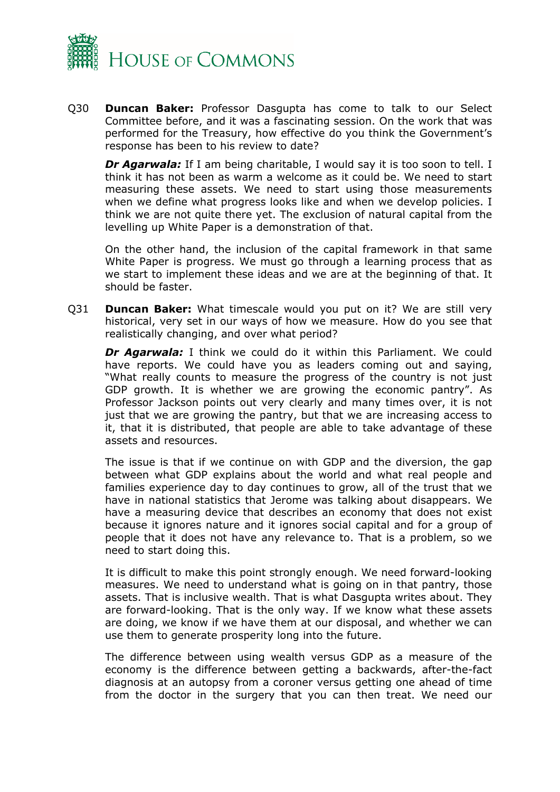

Q30 **Duncan Baker:** Professor Dasgupta has come to talk to our Select Committee before, and it was a fascinating session. On the work that was performed for the Treasury, how effective do you think the Government's response has been to his review to date?

*Dr Agarwala:* If I am being charitable, I would say it is too soon to tell. I think it has not been as warm a welcome as it could be. We need to start measuring these assets. We need to start using those measurements when we define what progress looks like and when we develop policies. I think we are not quite there yet. The exclusion of natural capital from the levelling up White Paper is a demonstration of that.

On the other hand, the inclusion of the capital framework in that same White Paper is progress. We must go through a learning process that as we start to implement these ideas and we are at the beginning of that. It should be faster.

Q31 **Duncan Baker:** What timescale would you put on it? We are still very historical, very set in our ways of how we measure. How do you see that realistically changing, and over what period?

*Dr Agarwala:* I think we could do it within this Parliament. We could have reports. We could have you as leaders coming out and saying, "What really counts to measure the progress of the country is not just GDP growth. It is whether we are growing the economic pantry". As Professor Jackson points out very clearly and many times over, it is not just that we are growing the pantry, but that we are increasing access to it, that it is distributed, that people are able to take advantage of these assets and resources.

The issue is that if we continue on with GDP and the diversion, the gap between what GDP explains about the world and what real people and families experience day to day continues to grow, all of the trust that we have in national statistics that Jerome was talking about disappears. We have a measuring device that describes an economy that does not exist because it ignores nature and it ignores social capital and for a group of people that it does not have any relevance to. That is a problem, so we need to start doing this.

It is difficult to make this point strongly enough. We need forward-looking measures. We need to understand what is going on in that pantry, those assets. That is inclusive wealth. That is what Dasgupta writes about. They are forward-looking. That is the only way. If we know what these assets are doing, we know if we have them at our disposal, and whether we can use them to generate prosperity long into the future.

The difference between using wealth versus GDP as a measure of the economy is the difference between getting a backwards, after-the-fact diagnosis at an autopsy from a coroner versus getting one ahead of time from the doctor in the surgery that you can then treat. We need our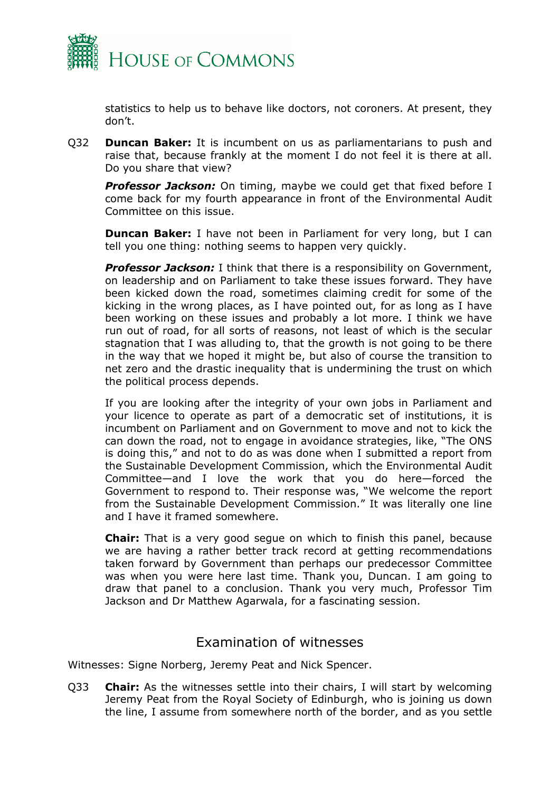

statistics to help us to behave like doctors, not coroners. At present, they don't.

Q32 **Duncan Baker:** It is incumbent on us as parliamentarians to push and raise that, because frankly at the moment I do not feel it is there at all. Do you share that view?

**Professor Jackson:** On timing, maybe we could get that fixed before I come back for my fourth appearance in front of the Environmental Audit Committee on this issue.

**Duncan Baker:** I have not been in Parliament for very long, but I can tell you one thing: nothing seems to happen very quickly.

*Professor Jackson:* I think that there is a responsibility on Government, on leadership and on Parliament to take these issues forward. They have been kicked down the road, sometimes claiming credit for some of the kicking in the wrong places, as I have pointed out, for as long as I have been working on these issues and probably a lot more. I think we have run out of road, for all sorts of reasons, not least of which is the secular stagnation that I was alluding to, that the growth is not going to be there in the way that we hoped it might be, but also of course the transition to net zero and the drastic inequality that is undermining the trust on which the political process depends.

If you are looking after the integrity of your own jobs in Parliament and your licence to operate as part of a democratic set of institutions, it is incumbent on Parliament and on Government to move and not to kick the can down the road, not to engage in avoidance strategies, like, "The ONS is doing this," and not to do as was done when I submitted a report from the Sustainable Development Commission, which the Environmental Audit Committee—and I love the work that you do here—forced the Government to respond to. Their response was, "We welcome the report from the Sustainable Development Commission." It was literally one line and I have it framed somewhere.

**Chair:** That is a very good segue on which to finish this panel, because we are having a rather better track record at getting recommendations taken forward by Government than perhaps our predecessor Committee was when you were here last time. Thank you, Duncan. I am going to draw that panel to a conclusion. Thank you very much, Professor Tim Jackson and Dr Matthew Agarwala, for a fascinating session.

### <span id="page-22-0"></span>Examination of witnesses

Witnesses: Signe Norberg, Jeremy Peat and Nick Spencer.

Q33 **Chair:** As the witnesses settle into their chairs, I will start by welcoming Jeremy Peat from the Royal Society of Edinburgh, who is joining us down the line, I assume from somewhere north of the border, and as you settle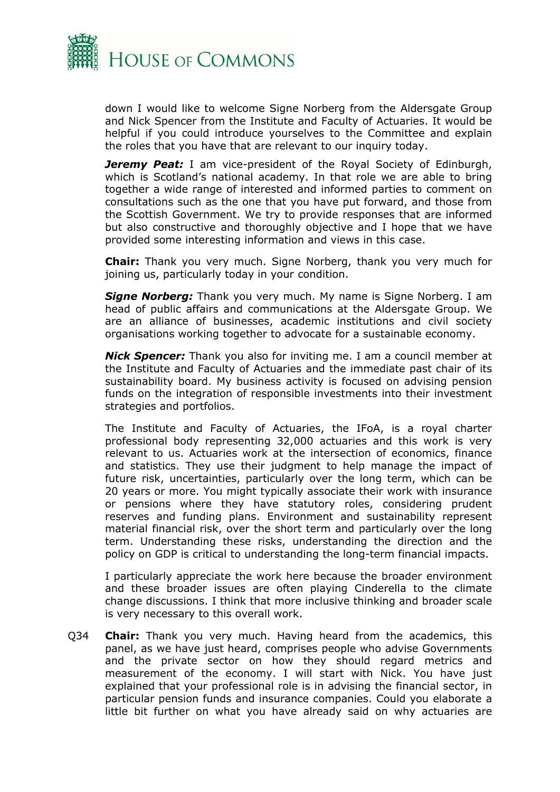

down I would like to welcome Signe Norberg from the Aldersgate Group and Nick Spencer from the Institute and Faculty of Actuaries. It would be helpful if you could introduce yourselves to the Committee and explain the roles that you have that are relevant to our inquiry today.

*Jeremy Peat: I am vice-president of the Royal Society of Edinburgh,* which is Scotland's national academy. In that role we are able to bring together a wide range of interested and informed parties to comment on consultations such as the one that you have put forward, and those from the Scottish Government. We try to provide responses that are informed but also constructive and thoroughly objective and I hope that we have provided some interesting information and views in this case.

**Chair:** Thank you very much. Signe Norberg, thank you very much for joining us, particularly today in your condition.

*Signe Norberg:* Thank you very much. My name is Signe Norberg. I am head of public affairs and communications at the Aldersgate Group. We are an alliance of businesses, academic institutions and civil society organisations working together to advocate for a sustainable economy.

*Nick Spencer:* Thank you also for inviting me. I am a council member at the Institute and Faculty of Actuaries and the immediate past chair of its sustainability board. My business activity is focused on advising pension funds on the integration of responsible investments into their investment strategies and portfolios.

The Institute and Faculty of Actuaries, the IFoA, is a royal charter professional body representing 32,000 actuaries and this work is very relevant to us. Actuaries work at the intersection of economics, finance and statistics. They use their judgment to help manage the impact of future risk, uncertainties, particularly over the long term, which can be 20 years or more. You might typically associate their work with insurance or pensions where they have statutory roles, considering prudent reserves and funding plans. Environment and sustainability represent material financial risk, over the short term and particularly over the long term. Understanding these risks, understanding the direction and the policy on GDP is critical to understanding the long-term financial impacts.

I particularly appreciate the work here because the broader environment and these broader issues are often playing Cinderella to the climate change discussions. I think that more inclusive thinking and broader scale is very necessary to this overall work.

Q34 **Chair:** Thank you very much. Having heard from the academics, this panel, as we have just heard, comprises people who advise Governments and the private sector on how they should regard metrics and measurement of the economy. I will start with Nick. You have just explained that your professional role is in advising the financial sector, in particular pension funds and insurance companies. Could you elaborate a little bit further on what you have already said on why actuaries are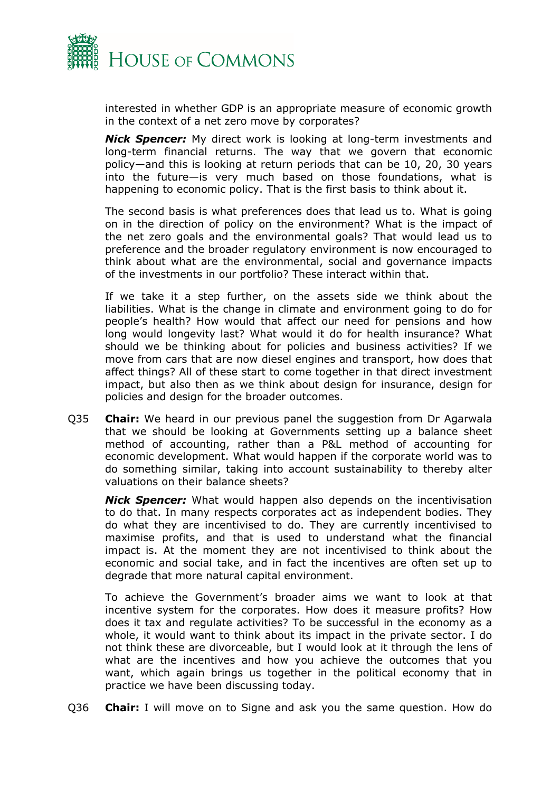

interested in whether GDP is an appropriate measure of economic growth in the context of a net zero move by corporates?

*Nick Spencer:* My direct work is looking at long-term investments and long-term financial returns. The way that we govern that economic policy—and this is looking at return periods that can be 10, 20, 30 years into the future—is very much based on those foundations, what is happening to economic policy. That is the first basis to think about it.

The second basis is what preferences does that lead us to. What is going on in the direction of policy on the environment? What is the impact of the net zero goals and the environmental goals? That would lead us to preference and the broader regulatory environment is now encouraged to think about what are the environmental, social and governance impacts of the investments in our portfolio? These interact within that.

If we take it a step further, on the assets side we think about the liabilities. What is the change in climate and environment going to do for people's health? How would that affect our need for pensions and how long would longevity last? What would it do for health insurance? What should we be thinking about for policies and business activities? If we move from cars that are now diesel engines and transport, how does that affect things? All of these start to come together in that direct investment impact, but also then as we think about design for insurance, design for policies and design for the broader outcomes.

Q35 **Chair:** We heard in our previous panel the suggestion from Dr Agarwala that we should be looking at Governments setting up a balance sheet method of accounting, rather than a P&L method of accounting for economic development. What would happen if the corporate world was to do something similar, taking into account sustainability to thereby alter valuations on their balance sheets?

*Nick Spencer:* What would happen also depends on the incentivisation to do that. In many respects corporates act as independent bodies. They do what they are incentivised to do. They are currently incentivised to maximise profits, and that is used to understand what the financial impact is. At the moment they are not incentivised to think about the economic and social take, and in fact the incentives are often set up to degrade that more natural capital environment.

To achieve the Government's broader aims we want to look at that incentive system for the corporates. How does it measure profits? How does it tax and regulate activities? To be successful in the economy as a whole, it would want to think about its impact in the private sector. I do not think these are divorceable, but I would look at it through the lens of what are the incentives and how you achieve the outcomes that you want, which again brings us together in the political economy that in practice we have been discussing today.

Q36 **Chair:** I will move on to Signe and ask you the same question. How do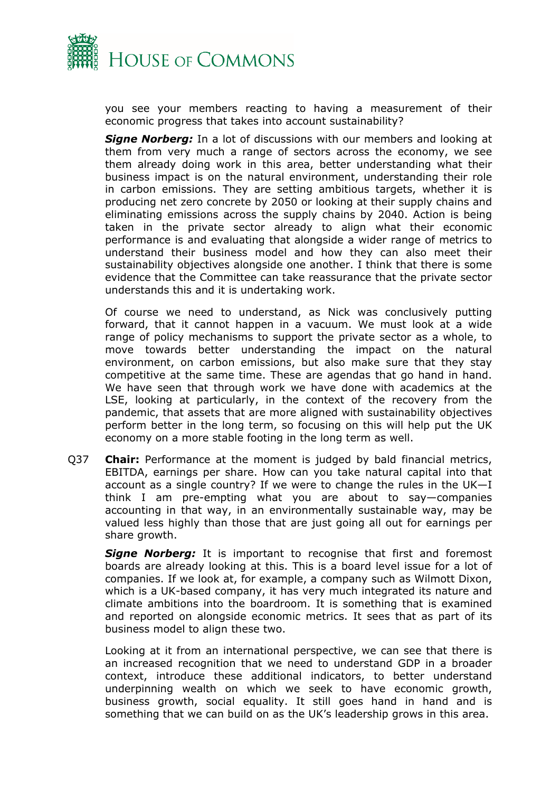

you see your members reacting to having a measurement of their economic progress that takes into account sustainability?

*Signe Norberg:* In a lot of discussions with our members and looking at them from very much a range of sectors across the economy, we see them already doing work in this area, better understanding what their business impact is on the natural environment, understanding their role in carbon emissions. They are setting ambitious targets, whether it is producing net zero concrete by 2050 or looking at their supply chains and eliminating emissions across the supply chains by 2040. Action is being taken in the private sector already to align what their economic performance is and evaluating that alongside a wider range of metrics to understand their business model and how they can also meet their sustainability objectives alongside one another. I think that there is some evidence that the Committee can take reassurance that the private sector understands this and it is undertaking work.

Of course we need to understand, as Nick was conclusively putting forward, that it cannot happen in a vacuum. We must look at a wide range of policy mechanisms to support the private sector as a whole, to move towards better understanding the impact on the natural environment, on carbon emissions, but also make sure that they stay competitive at the same time. These are agendas that go hand in hand. We have seen that through work we have done with academics at the LSE, looking at particularly, in the context of the recovery from the pandemic, that assets that are more aligned with sustainability objectives perform better in the long term, so focusing on this will help put the UK economy on a more stable footing in the long term as well.

Q37 **Chair:** Performance at the moment is judged by bald financial metrics, EBITDA, earnings per share. How can you take natural capital into that account as a single country? If we were to change the rules in the UK—I think I am pre-empting what you are about to say—companies accounting in that way, in an environmentally sustainable way, may be valued less highly than those that are just going all out for earnings per share growth.

*Signe Norberg:* It is important to recognise that first and foremost boards are already looking at this. This is a board level issue for a lot of companies. If we look at, for example, a company such as Wilmott Dixon, which is a UK-based company, it has very much integrated its nature and climate ambitions into the boardroom. It is something that is examined and reported on alongside economic metrics. It sees that as part of its business model to align these two.

Looking at it from an international perspective, we can see that there is an increased recognition that we need to understand GDP in a broader context, introduce these additional indicators, to better understand underpinning wealth on which we seek to have economic growth, business growth, social equality. It still goes hand in hand and is something that we can build on as the UK's leadership grows in this area.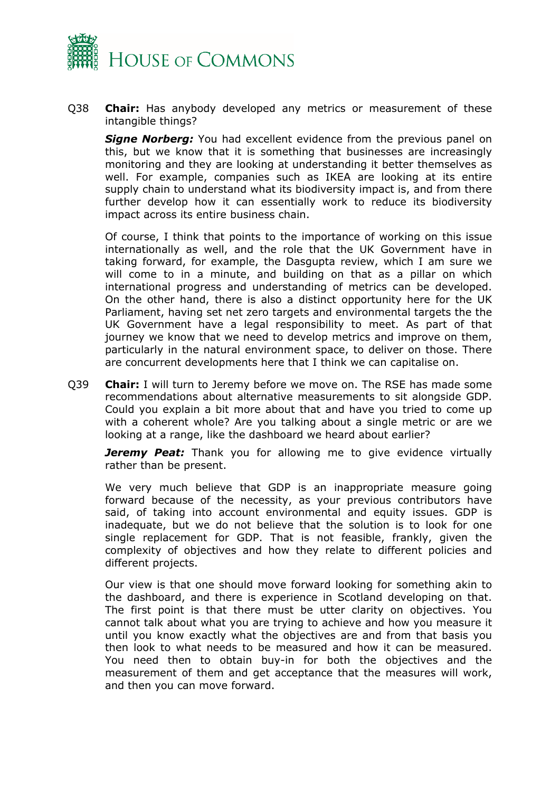

Q38 **Chair:** Has anybody developed any metrics or measurement of these intangible things?

**Signe Norberg:** You had excellent evidence from the previous panel on this, but we know that it is something that businesses are increasingly monitoring and they are looking at understanding it better themselves as well. For example, companies such as IKEA are looking at its entire supply chain to understand what its biodiversity impact is, and from there further develop how it can essentially work to reduce its biodiversity impact across its entire business chain.

Of course, I think that points to the importance of working on this issue internationally as well, and the role that the UK Government have in taking forward, for example, the Dasgupta review, which I am sure we will come to in a minute, and building on that as a pillar on which international progress and understanding of metrics can be developed. On the other hand, there is also a distinct opportunity here for the UK Parliament, having set net zero targets and environmental targets the the UK Government have a legal responsibility to meet. As part of that journey we know that we need to develop metrics and improve on them, particularly in the natural environment space, to deliver on those. There are concurrent developments here that I think we can capitalise on.

Q39 **Chair:** I will turn to Jeremy before we move on. The RSE has made some recommendations about alternative measurements to sit alongside GDP. Could you explain a bit more about that and have you tried to come up with a coherent whole? Are you talking about a single metric or are we looking at a range, like the dashboard we heard about earlier?

**Jeremy Peat:** Thank you for allowing me to give evidence virtually rather than be present.

We very much believe that GDP is an inappropriate measure going forward because of the necessity, as your previous contributors have said, of taking into account environmental and equity issues. GDP is inadequate, but we do not believe that the solution is to look for one single replacement for GDP. That is not feasible, frankly, given the complexity of objectives and how they relate to different policies and different projects.

Our view is that one should move forward looking for something akin to the dashboard, and there is experience in Scotland developing on that. The first point is that there must be utter clarity on objectives. You cannot talk about what you are trying to achieve and how you measure it until you know exactly what the objectives are and from that basis you then look to what needs to be measured and how it can be measured. You need then to obtain buy-in for both the objectives and the measurement of them and get acceptance that the measures will work, and then you can move forward.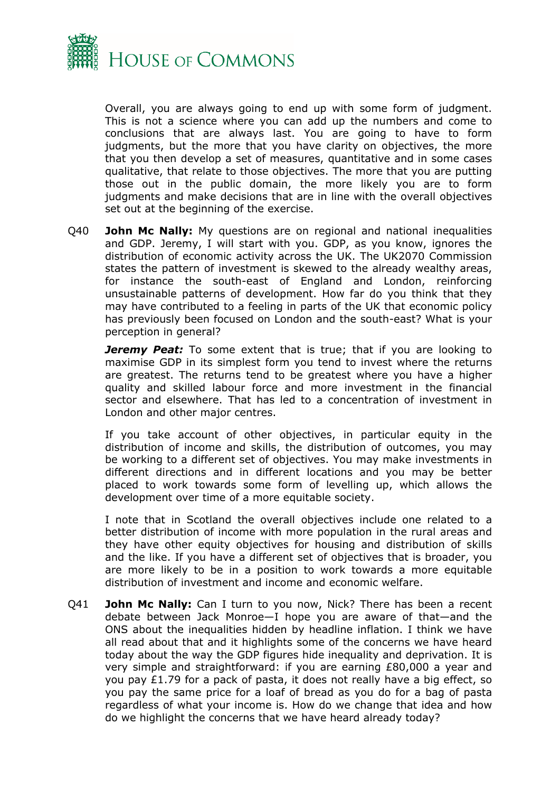

Overall, you are always going to end up with some form of judgment. This is not a science where you can add up the numbers and come to conclusions that are always last. You are going to have to form judgments, but the more that you have clarity on objectives, the more that you then develop a set of measures, quantitative and in some cases qualitative, that relate to those objectives. The more that you are putting those out in the public domain, the more likely you are to form judgments and make decisions that are in line with the overall objectives set out at the beginning of the exercise.

Q40 **John Mc Nally:** My questions are on regional and national inequalities and GDP. Jeremy, I will start with you. GDP, as you know, ignores the distribution of economic activity across the UK. The UK2070 Commission states the pattern of investment is skewed to the already wealthy areas, for instance the south-east of England and London, reinforcing unsustainable patterns of development. How far do you think that they may have contributed to a feeling in parts of the UK that economic policy has previously been focused on London and the south-east? What is your perception in general?

*Jeremy Peat:* To some extent that is true; that if you are looking to maximise GDP in its simplest form you tend to invest where the returns are greatest. The returns tend to be greatest where you have a higher quality and skilled labour force and more investment in the financial sector and elsewhere. That has led to a concentration of investment in London and other major centres.

If you take account of other objectives, in particular equity in the distribution of income and skills, the distribution of outcomes, you may be working to a different set of objectives. You may make investments in different directions and in different locations and you may be better placed to work towards some form of levelling up, which allows the development over time of a more equitable society.

I note that in Scotland the overall objectives include one related to a better distribution of income with more population in the rural areas and they have other equity objectives for housing and distribution of skills and the like. If you have a different set of objectives that is broader, you are more likely to be in a position to work towards a more equitable distribution of investment and income and economic welfare.

Q41 **John Mc Nally:** Can I turn to you now, Nick? There has been a recent debate between Jack Monroe—I hope you are aware of that—and the ONS about the inequalities hidden by headline inflation. I think we have all read about that and it highlights some of the concerns we have heard today about the way the GDP figures hide inequality and deprivation. It is very simple and straightforward: if you are earning £80,000 a year and you pay £1.79 for a pack of pasta, it does not really have a big effect, so you pay the same price for a loaf of bread as you do for a bag of pasta regardless of what your income is. How do we change that idea and how do we highlight the concerns that we have heard already today?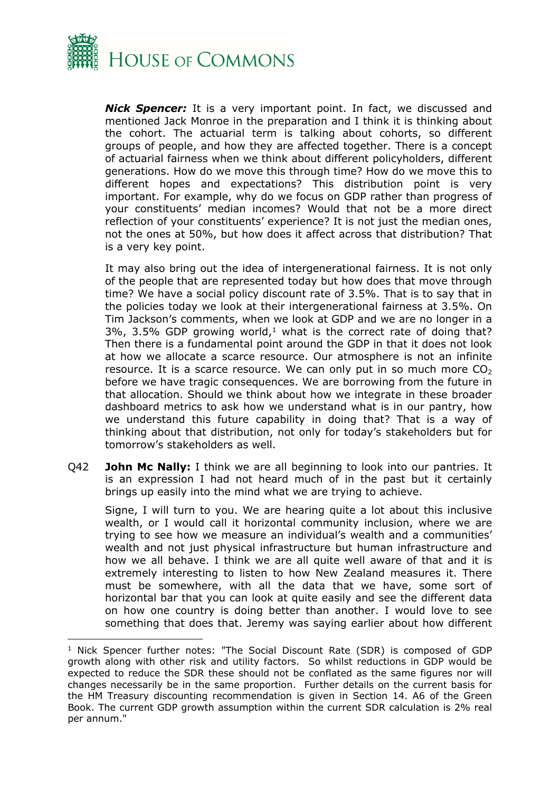

*Nick Spencer:* It is a very important point. In fact, we discussed and mentioned Jack Monroe in the preparation and I think it is thinking about the cohort. The actuarial term is talking about cohorts, so different groups of people, and how they are affected together. There is a concept of actuarial fairness when we think about different policyholders, different generations. How do we move this through time? How do we move this to different hopes and expectations? This distribution point is very important. For example, why do we focus on GDP rather than progress of your constituents' median incomes? Would that not be a more direct reflection of your constituents' experience? It is not just the median ones, not the ones at 50%, but how does it affect across that distribution? That is a very key point.

It may also bring out the idea of intergenerational fairness. It is not only of the people that are represented today but how does that move through time? We have a social policy discount rate of 3.5%. That is to say that in the policies today we look at their intergenerational fairness at 3.5%. On Tim Jackson's comments, when we look at GDP and we are no longer in a  $3\%$ ,  $3.5\%$  GDP growing world,<sup>1</sup> what is the correct rate of doing that? Then there is a fundamental point around the GDP in that it does not look at how we allocate a scarce resource. Our atmosphere is not an infinite resource. It is a scarce resource. We can only put in so much more  $CO<sub>2</sub>$ before we have tragic consequences. We are borrowing from the future in that allocation. Should we think about how we integrate in these broader dashboard metrics to ask how we understand what is in our pantry, how we understand this future capability in doing that? That is a way of thinking about that distribution, not only for today's stakeholders but for tomorrow's stakeholders as well.

Q42 **John Mc Nally:** I think we are all beginning to look into our pantries. It is an expression I had not heard much of in the past but it certainly brings up easily into the mind what we are trying to achieve.

Signe, I will turn to you. We are hearing quite a lot about this inclusive wealth, or I would call it horizontal community inclusion, where we are trying to see how we measure an individual's wealth and a communities' wealth and not just physical infrastructure but human infrastructure and how we all behave. I think we are all quite well aware of that and it is extremely interesting to listen to how New Zealand measures it. There must be somewhere, with all the data that we have, some sort of horizontal bar that you can look at quite easily and see the different data on how one country is doing better than another. I would love to see something that does that. Jeremy was saying earlier about how different

<sup>&</sup>lt;sup>1</sup> Nick Spencer further notes: "The Social Discount Rate (SDR) is composed of GDP growth along with other risk and utility factors. So whilst reductions in GDP would be expected to reduce the SDR these should not be conflated as the same figures nor will changes necessarily be in the same proportion. Further details on the current basis for the HM Treasury discounting recommendation is given in Section 14. A6 of the Green Book. The current GDP growth assumption within the current SDR calculation is 2% real per annum."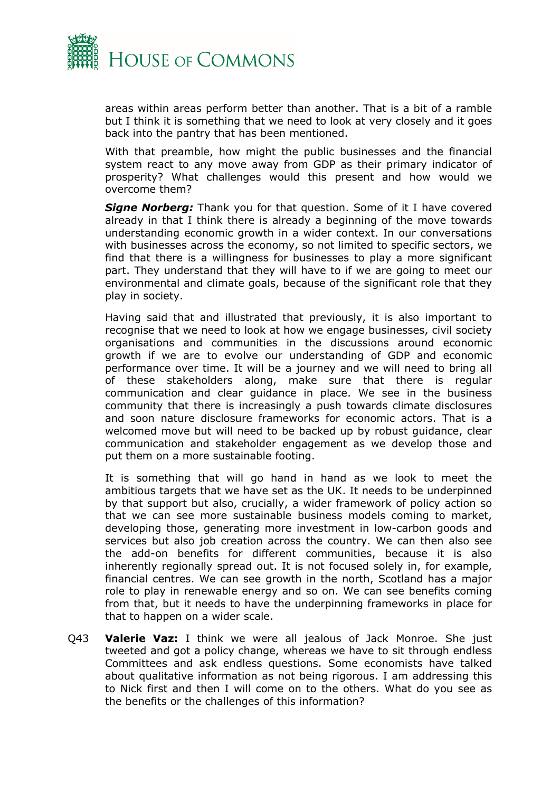

areas within areas perform better than another. That is a bit of a ramble but I think it is something that we need to look at very closely and it goes back into the pantry that has been mentioned.

With that preamble, how might the public businesses and the financial system react to any move away from GDP as their primary indicator of prosperity? What challenges would this present and how would we overcome them?

*Signe Norberg:* Thank you for that question. Some of it I have covered already in that I think there is already a beginning of the move towards understanding economic growth in a wider context. In our conversations with businesses across the economy, so not limited to specific sectors, we find that there is a willingness for businesses to play a more significant part. They understand that they will have to if we are going to meet our environmental and climate goals, because of the significant role that they play in society.

Having said that and illustrated that previously, it is also important to recognise that we need to look at how we engage businesses, civil society organisations and communities in the discussions around economic growth if we are to evolve our understanding of GDP and economic performance over time. It will be a journey and we will need to bring all of these stakeholders along, make sure that there is regular communication and clear guidance in place. We see in the business community that there is increasingly a push towards climate disclosures and soon nature disclosure frameworks for economic actors. That is a welcomed move but will need to be backed up by robust guidance, clear communication and stakeholder engagement as we develop those and put them on a more sustainable footing.

It is something that will go hand in hand as we look to meet the ambitious targets that we have set as the UK. It needs to be underpinned by that support but also, crucially, a wider framework of policy action so that we can see more sustainable business models coming to market, developing those, generating more investment in low-carbon goods and services but also job creation across the country. We can then also see the add-on benefits for different communities, because it is also inherently regionally spread out. It is not focused solely in, for example, financial centres. We can see growth in the north, Scotland has a major role to play in renewable energy and so on. We can see benefits coming from that, but it needs to have the underpinning frameworks in place for that to happen on a wider scale.

Q43 **Valerie Vaz:** I think we were all jealous of Jack Monroe. She just tweeted and got a policy change, whereas we have to sit through endless Committees and ask endless questions. Some economists have talked about qualitative information as not being rigorous. I am addressing this to Nick first and then I will come on to the others. What do you see as the benefits or the challenges of this information?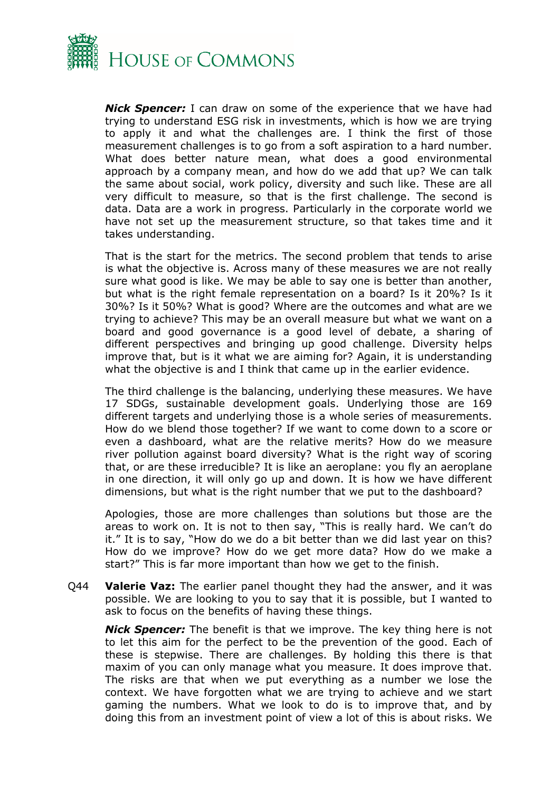

*Nick Spencer:* I can draw on some of the experience that we have had trying to understand ESG risk in investments, which is how we are trying to apply it and what the challenges are. I think the first of those measurement challenges is to go from a soft aspiration to a hard number. What does better nature mean, what does a good environmental approach by a company mean, and how do we add that up? We can talk the same about social, work policy, diversity and such like. These are all very difficult to measure, so that is the first challenge. The second is data. Data are a work in progress. Particularly in the corporate world we have not set up the measurement structure, so that takes time and it takes understanding.

That is the start for the metrics. The second problem that tends to arise is what the objective is. Across many of these measures we are not really sure what good is like. We may be able to say one is better than another, but what is the right female representation on a board? Is it 20%? Is it 30%? Is it 50%? What is good? Where are the outcomes and what are we trying to achieve? This may be an overall measure but what we want on a board and good governance is a good level of debate, a sharing of different perspectives and bringing up good challenge. Diversity helps improve that, but is it what we are aiming for? Again, it is understanding what the objective is and I think that came up in the earlier evidence.

The third challenge is the balancing, underlying these measures. We have 17 SDGs, sustainable development goals. Underlying those are 169 different targets and underlying those is a whole series of measurements. How do we blend those together? If we want to come down to a score or even a dashboard, what are the relative merits? How do we measure river pollution against board diversity? What is the right way of scoring that, or are these irreducible? It is like an aeroplane: you fly an aeroplane in one direction, it will only go up and down. It is how we have different dimensions, but what is the right number that we put to the dashboard?

Apologies, those are more challenges than solutions but those are the areas to work on. It is not to then say, "This is really hard. We can't do it." It is to say, "How do we do a bit better than we did last year on this? How do we improve? How do we get more data? How do we make a start?" This is far more important than how we get to the finish.

Q44 **Valerie Vaz:** The earlier panel thought they had the answer, and it was possible. We are looking to you to say that it is possible, but I wanted to ask to focus on the benefits of having these things.

*Nick Spencer:* The benefit is that we improve. The key thing here is not to let this aim for the perfect to be the prevention of the good. Each of these is stepwise. There are challenges. By holding this there is that maxim of you can only manage what you measure. It does improve that. The risks are that when we put everything as a number we lose the context. We have forgotten what we are trying to achieve and we start gaming the numbers. What we look to do is to improve that, and by doing this from an investment point of view a lot of this is about risks. We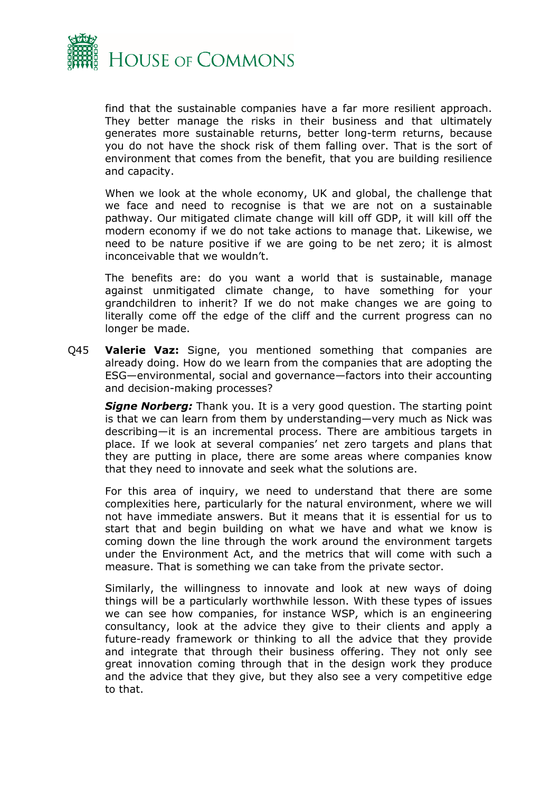

find that the sustainable companies have a far more resilient approach. They better manage the risks in their business and that ultimately generates more sustainable returns, better long-term returns, because you do not have the shock risk of them falling over. That is the sort of environment that comes from the benefit, that you are building resilience and capacity.

When we look at the whole economy, UK and global, the challenge that we face and need to recognise is that we are not on a sustainable pathway. Our mitigated climate change will kill off GDP, it will kill off the modern economy if we do not take actions to manage that. Likewise, we need to be nature positive if we are going to be net zero; it is almost inconceivable that we wouldn't.

The benefits are: do you want a world that is sustainable, manage against unmitigated climate change, to have something for your grandchildren to inherit? If we do not make changes we are going to literally come off the edge of the cliff and the current progress can no longer be made.

Q45 **Valerie Vaz:** Signe, you mentioned something that companies are already doing. How do we learn from the companies that are adopting the ESG—environmental, social and governance—factors into their accounting and decision-making processes?

**Signe Norberg:** Thank you. It is a very good question. The starting point is that we can learn from them by understanding—very much as Nick was describing—it is an incremental process. There are ambitious targets in place. If we look at several companies' net zero targets and plans that they are putting in place, there are some areas where companies know that they need to innovate and seek what the solutions are.

For this area of inquiry, we need to understand that there are some complexities here, particularly for the natural environment, where we will not have immediate answers. But it means that it is essential for us to start that and begin building on what we have and what we know is coming down the line through the work around the environment targets under the Environment Act, and the metrics that will come with such a measure. That is something we can take from the private sector.

Similarly, the willingness to innovate and look at new ways of doing things will be a particularly worthwhile lesson. With these types of issues we can see how companies, for instance WSP, which is an engineering consultancy, look at the advice they give to their clients and apply a future-ready framework or thinking to all the advice that they provide and integrate that through their business offering. They not only see great innovation coming through that in the design work they produce and the advice that they give, but they also see a very competitive edge to that.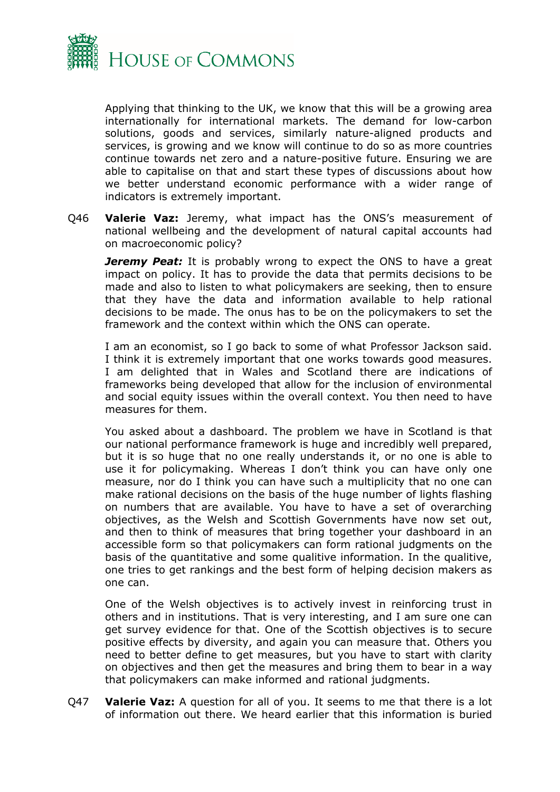

Applying that thinking to the UK, we know that this will be a growing area internationally for international markets. The demand for low-carbon solutions, goods and services, similarly nature-aligned products and services, is growing and we know will continue to do so as more countries continue towards net zero and a nature-positive future. Ensuring we are able to capitalise on that and start these types of discussions about how we better understand economic performance with a wider range of indicators is extremely important.

Q46 **Valerie Vaz:** Jeremy, what impact has the ONS's measurement of national wellbeing and the development of natural capital accounts had on macroeconomic policy?

*Jeremy Peat:* It is probably wrong to expect the ONS to have a great impact on policy. It has to provide the data that permits decisions to be made and also to listen to what policymakers are seeking, then to ensure that they have the data and information available to help rational decisions to be made. The onus has to be on the policymakers to set the framework and the context within which the ONS can operate.

I am an economist, so I go back to some of what Professor Jackson said. I think it is extremely important that one works towards good measures. I am delighted that in Wales and Scotland there are indications of frameworks being developed that allow for the inclusion of environmental and social equity issues within the overall context. You then need to have measures for them.

You asked about a dashboard. The problem we have in Scotland is that our national performance framework is huge and incredibly well prepared, but it is so huge that no one really understands it, or no one is able to use it for policymaking. Whereas I don't think you can have only one measure, nor do I think you can have such a multiplicity that no one can make rational decisions on the basis of the huge number of lights flashing on numbers that are available. You have to have a set of overarching objectives, as the Welsh and Scottish Governments have now set out, and then to think of measures that bring together your dashboard in an accessible form so that policymakers can form rational judgments on the basis of the quantitative and some qualitive information. In the qualitive, one tries to get rankings and the best form of helping decision makers as one can.

One of the Welsh objectives is to actively invest in reinforcing trust in others and in institutions. That is very interesting, and I am sure one can get survey evidence for that. One of the Scottish objectives is to secure positive effects by diversity, and again you can measure that. Others you need to better define to get measures, but you have to start with clarity on objectives and then get the measures and bring them to bear in a way that policymakers can make informed and rational judgments.

Q47 **Valerie Vaz:** A question for all of you. It seems to me that there is a lot of information out there. We heard earlier that this information is buried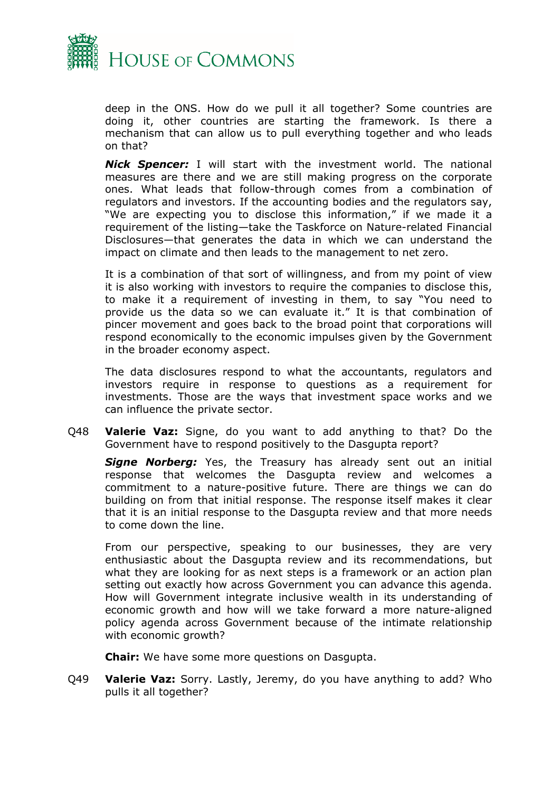

deep in the ONS. How do we pull it all together? Some countries are doing it, other countries are starting the framework. Is there a mechanism that can allow us to pull everything together and who leads on that?

*Nick Spencer:* I will start with the investment world. The national measures are there and we are still making progress on the corporate ones. What leads that follow-through comes from a combination of regulators and investors. If the accounting bodies and the regulators say, "We are expecting you to disclose this information," if we made it a requirement of the listing—take the Taskforce on Nature-related Financial Disclosures—that generates the data in which we can understand the impact on climate and then leads to the management to net zero.

It is a combination of that sort of willingness, and from my point of view it is also working with investors to require the companies to disclose this, to make it a requirement of investing in them, to say "You need to provide us the data so we can evaluate it." It is that combination of pincer movement and goes back to the broad point that corporations will respond economically to the economic impulses given by the Government in the broader economy aspect.

The data disclosures respond to what the accountants, regulators and investors require in response to questions as a requirement for investments. Those are the ways that investment space works and we can influence the private sector.

Q48 **Valerie Vaz:** Signe, do you want to add anything to that? Do the Government have to respond positively to the Dasgupta report?

**Signe Norberg:** Yes, the Treasury has already sent out an initial response that welcomes the Dasgupta review and welcomes a commitment to a nature-positive future. There are things we can do building on from that initial response. The response itself makes it clear that it is an initial response to the Dasgupta review and that more needs to come down the line.

From our perspective, speaking to our businesses, they are very enthusiastic about the Dasgupta review and its recommendations, but what they are looking for as next steps is a framework or an action plan setting out exactly how across Government you can advance this agenda. How will Government integrate inclusive wealth in its understanding of economic growth and how will we take forward a more nature-aligned policy agenda across Government because of the intimate relationship with economic growth?

**Chair:** We have some more questions on Dasgupta.

Q49 **Valerie Vaz:** Sorry. Lastly, Jeremy, do you have anything to add? Who pulls it all together?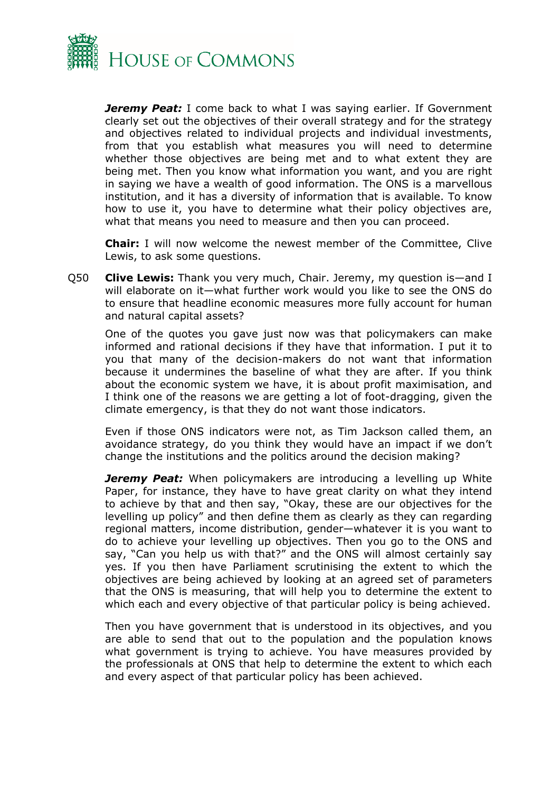

*Jeremy Peat:* I come back to what I was saying earlier. If Government clearly set out the objectives of their overall strategy and for the strategy and objectives related to individual projects and individual investments, from that you establish what measures you will need to determine whether those objectives are being met and to what extent they are being met. Then you know what information you want, and you are right in saying we have a wealth of good information. The ONS is a marvellous institution, and it has a diversity of information that is available. To know how to use it, you have to determine what their policy objectives are, what that means you need to measure and then you can proceed.

**Chair:** I will now welcome the newest member of the Committee, Clive Lewis, to ask some questions.

Q50 **Clive Lewis:** Thank you very much, Chair. Jeremy, my question is—and I will elaborate on it—what further work would you like to see the ONS do to ensure that headline economic measures more fully account for human and natural capital assets?

One of the quotes you gave just now was that policymakers can make informed and rational decisions if they have that information. I put it to you that many of the decision-makers do not want that information because it undermines the baseline of what they are after. If you think about the economic system we have, it is about profit maximisation, and I think one of the reasons we are getting a lot of foot-dragging, given the climate emergency, is that they do not want those indicators.

Even if those ONS indicators were not, as Tim Jackson called them, an avoidance strategy, do you think they would have an impact if we don't change the institutions and the politics around the decision making?

*Jeremy Peat:* When policymakers are introducing a levelling up White Paper, for instance, they have to have great clarity on what they intend to achieve by that and then say, "Okay, these are our objectives for the levelling up policy" and then define them as clearly as they can regarding regional matters, income distribution, gender—whatever it is you want to do to achieve your levelling up objectives. Then you go to the ONS and say, "Can you help us with that?" and the ONS will almost certainly say yes. If you then have Parliament scrutinising the extent to which the objectives are being achieved by looking at an agreed set of parameters that the ONS is measuring, that will help you to determine the extent to which each and every objective of that particular policy is being achieved.

Then you have government that is understood in its objectives, and you are able to send that out to the population and the population knows what government is trying to achieve. You have measures provided by the professionals at ONS that help to determine the extent to which each and every aspect of that particular policy has been achieved.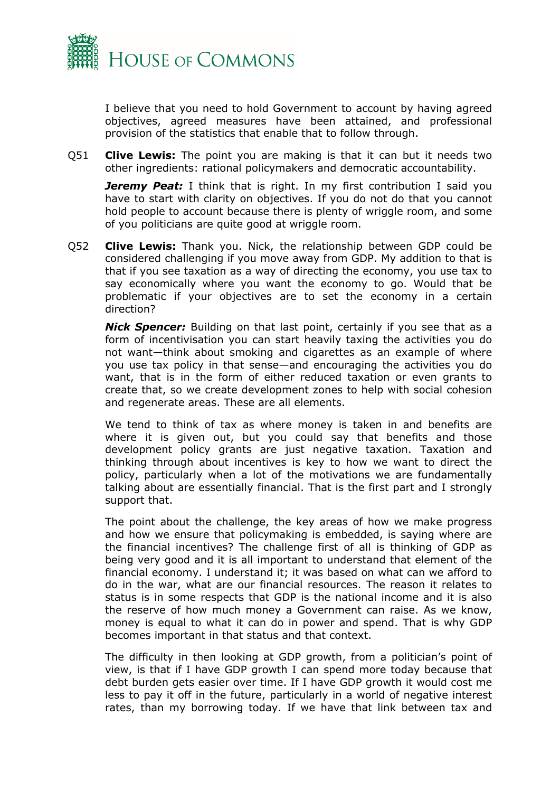

I believe that you need to hold Government to account by having agreed objectives, agreed measures have been attained, and professional provision of the statistics that enable that to follow through.

Q51 **Clive Lewis:** The point you are making is that it can but it needs two other ingredients: rational policymakers and democratic accountability.

**Jeremy Peat:** I think that is right. In my first contribution I said you have to start with clarity on objectives. If you do not do that you cannot hold people to account because there is plenty of wriggle room, and some of you politicians are quite good at wriggle room.

Q52 **Clive Lewis:** Thank you. Nick, the relationship between GDP could be considered challenging if you move away from GDP. My addition to that is that if you see taxation as a way of directing the economy, you use tax to say economically where you want the economy to go. Would that be problematic if your objectives are to set the economy in a certain direction?

*Nick Spencer:* Building on that last point, certainly if you see that as a form of incentivisation you can start heavily taxing the activities you do not want—think about smoking and cigarettes as an example of where you use tax policy in that sense—and encouraging the activities you do want, that is in the form of either reduced taxation or even grants to create that, so we create development zones to help with social cohesion and regenerate areas. These are all elements.

We tend to think of tax as where money is taken in and benefits are where it is given out, but you could say that benefits and those development policy grants are just negative taxation. Taxation and thinking through about incentives is key to how we want to direct the policy, particularly when a lot of the motivations we are fundamentally talking about are essentially financial. That is the first part and I strongly support that.

The point about the challenge, the key areas of how we make progress and how we ensure that policymaking is embedded, is saying where are the financial incentives? The challenge first of all is thinking of GDP as being very good and it is all important to understand that element of the financial economy. I understand it; it was based on what can we afford to do in the war, what are our financial resources. The reason it relates to status is in some respects that GDP is the national income and it is also the reserve of how much money a Government can raise. As we know, money is equal to what it can do in power and spend. That is why GDP becomes important in that status and that context.

The difficulty in then looking at GDP growth, from a politician's point of view, is that if I have GDP growth I can spend more today because that debt burden gets easier over time. If I have GDP growth it would cost me less to pay it off in the future, particularly in a world of negative interest rates, than my borrowing today. If we have that link between tax and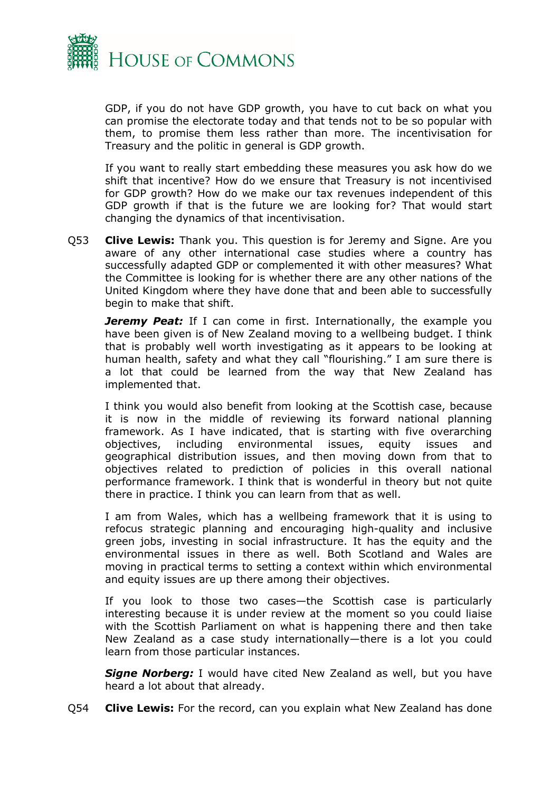

GDP, if you do not have GDP growth, you have to cut back on what you can promise the electorate today and that tends not to be so popular with them, to promise them less rather than more. The incentivisation for Treasury and the politic in general is GDP growth.

If you want to really start embedding these measures you ask how do we shift that incentive? How do we ensure that Treasury is not incentivised for GDP growth? How do we make our tax revenues independent of this GDP growth if that is the future we are looking for? That would start changing the dynamics of that incentivisation.

Q53 **Clive Lewis:** Thank you. This question is for Jeremy and Signe. Are you aware of any other international case studies where a country has successfully adapted GDP or complemented it with other measures? What the Committee is looking for is whether there are any other nations of the United Kingdom where they have done that and been able to successfully begin to make that shift.

**Jeremy Peat:** If I can come in first. Internationally, the example you have been given is of New Zealand moving to a wellbeing budget. I think that is probably well worth investigating as it appears to be looking at human health, safety and what they call "flourishing." I am sure there is a lot that could be learned from the way that New Zealand has implemented that.

I think you would also benefit from looking at the Scottish case, because it is now in the middle of reviewing its forward national planning framework. As I have indicated, that is starting with five overarching objectives, including environmental issues, equity issues and geographical distribution issues, and then moving down from that to objectives related to prediction of policies in this overall national performance framework. I think that is wonderful in theory but not quite there in practice. I think you can learn from that as well.

I am from Wales, which has a wellbeing framework that it is using to refocus strategic planning and encouraging high-quality and inclusive green jobs, investing in social infrastructure. It has the equity and the environmental issues in there as well. Both Scotland and Wales are moving in practical terms to setting a context within which environmental and equity issues are up there among their objectives.

If you look to those two cases—the Scottish case is particularly interesting because it is under review at the moment so you could liaise with the Scottish Parliament on what is happening there and then take New Zealand as a case study internationally—there is a lot you could learn from those particular instances.

**Signe Norberg:** I would have cited New Zealand as well, but you have heard a lot about that already.

Q54 **Clive Lewis:** For the record, can you explain what New Zealand has done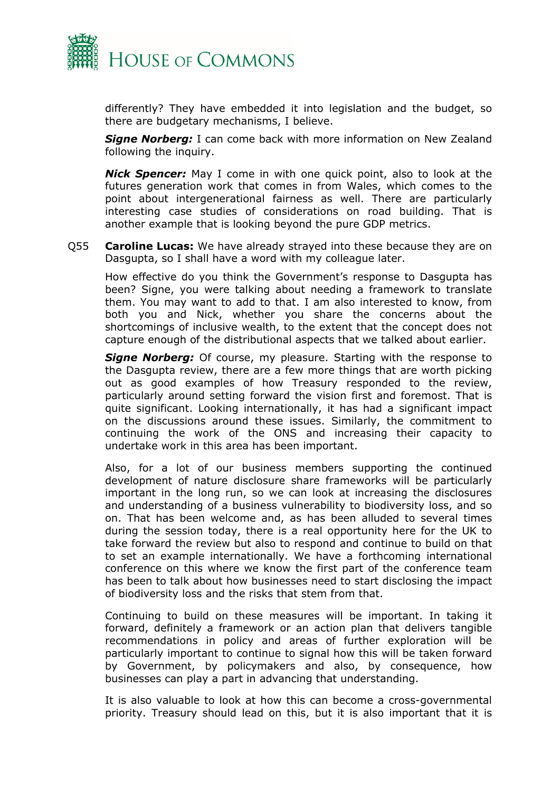

differently? They have embedded it into legislation and the budget, so there are budgetary mechanisms, I believe.

*Signe Norberg:* I can come back with more information on New Zealand following the inquiry.

*Nick Spencer:* May I come in with one quick point, also to look at the futures generation work that comes in from Wales, which comes to the point about intergenerational fairness as well. There are particularly interesting case studies of considerations on road building. That is another example that is looking beyond the pure GDP metrics.

Q55 **Caroline Lucas:** We have already strayed into these because they are on Dasgupta, so I shall have a word with my colleague later.

How effective do you think the Government's response to Dasgupta has been? Signe, you were talking about needing a framework to translate them. You may want to add to that. I am also interested to know, from both you and Nick, whether you share the concerns about the shortcomings of inclusive wealth, to the extent that the concept does not capture enough of the distributional aspects that we talked about earlier.

*Signe Norberg:* Of course, my pleasure. Starting with the response to the Dasgupta review, there are a few more things that are worth picking out as good examples of how Treasury responded to the review, particularly around setting forward the vision first and foremost. That is quite significant. Looking internationally, it has had a significant impact on the discussions around these issues. Similarly, the commitment to continuing the work of the ONS and increasing their capacity to undertake work in this area has been important.

Also, for a lot of our business members supporting the continued development of nature disclosure share frameworks will be particularly important in the long run, so we can look at increasing the disclosures and understanding of a business vulnerability to biodiversity loss, and so on. That has been welcome and, as has been alluded to several times during the session today, there is a real opportunity here for the UK to take forward the review but also to respond and continue to build on that to set an example internationally. We have a forthcoming international conference on this where we know the first part of the conference team has been to talk about how businesses need to start disclosing the impact of biodiversity loss and the risks that stem from that.

Continuing to build on these measures will be important. In taking it forward, definitely a framework or an action plan that delivers tangible recommendations in policy and areas of further exploration will be particularly important to continue to signal how this will be taken forward by Government, by policymakers and also, by consequence, how businesses can play a part in advancing that understanding.

It is also valuable to look at how this can become a cross-governmental priority. Treasury should lead on this, but it is also important that it is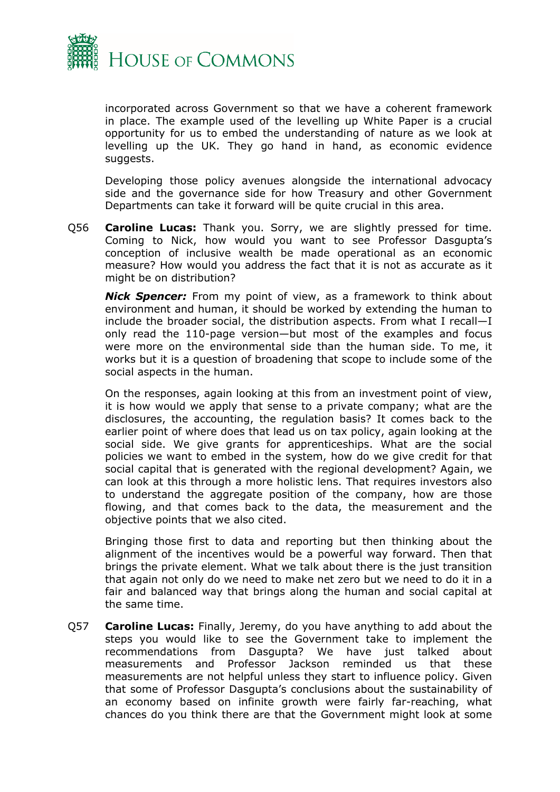

incorporated across Government so that we have a coherent framework in place. The example used of the levelling up White Paper is a crucial opportunity for us to embed the understanding of nature as we look at levelling up the UK. They go hand in hand, as economic evidence suggests.

Developing those policy avenues alongside the international advocacy side and the governance side for how Treasury and other Government Departments can take it forward will be quite crucial in this area.

Q56 **Caroline Lucas:** Thank you. Sorry, we are slightly pressed for time. Coming to Nick, how would you want to see Professor Dasgupta's conception of inclusive wealth be made operational as an economic measure? How would you address the fact that it is not as accurate as it might be on distribution?

*Nick Spencer:* From my point of view, as a framework to think about environment and human, it should be worked by extending the human to include the broader social, the distribution aspects. From what I recall—I only read the 110-page version—but most of the examples and focus were more on the environmental side than the human side. To me, it works but it is a question of broadening that scope to include some of the social aspects in the human.

On the responses, again looking at this from an investment point of view, it is how would we apply that sense to a private company; what are the disclosures, the accounting, the regulation basis? It comes back to the earlier point of where does that lead us on tax policy, again looking at the social side. We give grants for apprenticeships. What are the social policies we want to embed in the system, how do we give credit for that social capital that is generated with the regional development? Again, we can look at this through a more holistic lens. That requires investors also to understand the aggregate position of the company, how are those flowing, and that comes back to the data, the measurement and the objective points that we also cited.

Bringing those first to data and reporting but then thinking about the alignment of the incentives would be a powerful way forward. Then that brings the private element. What we talk about there is the just transition that again not only do we need to make net zero but we need to do it in a fair and balanced way that brings along the human and social capital at the same time.

Q57 **Caroline Lucas:** Finally, Jeremy, do you have anything to add about the steps you would like to see the Government take to implement the recommendations from Dasgupta? We have just talked about measurements and Professor Jackson reminded us that these measurements are not helpful unless they start to influence policy. Given that some of Professor Dasgupta's conclusions about the sustainability of an economy based on infinite growth were fairly far-reaching, what chances do you think there are that the Government might look at some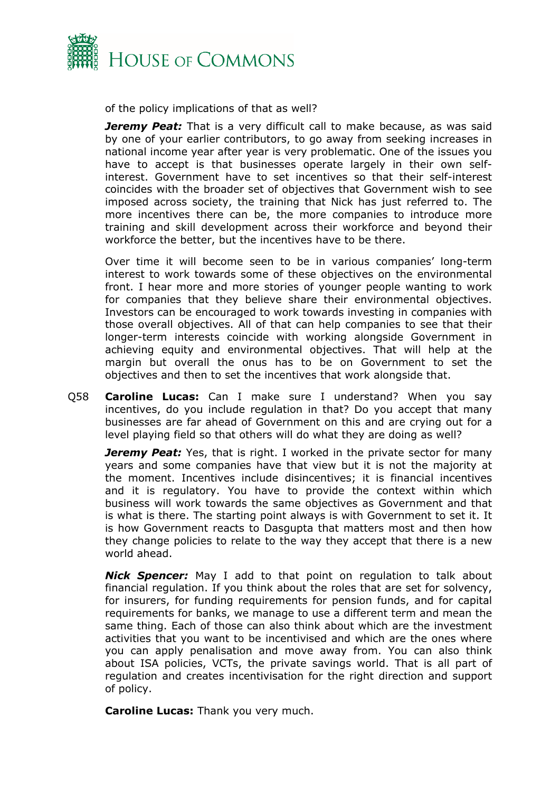

of the policy implications of that as well?

*Jeremy Peat:* That is a very difficult call to make because, as was said by one of your earlier contributors, to go away from seeking increases in national income year after year is very problematic. One of the issues you have to accept is that businesses operate largely in their own selfinterest. Government have to set incentives so that their self-interest coincides with the broader set of objectives that Government wish to see imposed across society, the training that Nick has just referred to. The more incentives there can be, the more companies to introduce more training and skill development across their workforce and beyond their workforce the better, but the incentives have to be there.

Over time it will become seen to be in various companies' long-term interest to work towards some of these objectives on the environmental front. I hear more and more stories of younger people wanting to work for companies that they believe share their environmental objectives. Investors can be encouraged to work towards investing in companies with those overall objectives. All of that can help companies to see that their longer-term interests coincide with working alongside Government in achieving equity and environmental objectives. That will help at the margin but overall the onus has to be on Government to set the objectives and then to set the incentives that work alongside that.

Q58 **Caroline Lucas:** Can I make sure I understand? When you say incentives, do you include regulation in that? Do you accept that many businesses are far ahead of Government on this and are crying out for a level playing field so that others will do what they are doing as well?

**Jeremy Peat:** Yes, that is right. I worked in the private sector for many years and some companies have that view but it is not the majority at the moment. Incentives include disincentives; it is financial incentives and it is regulatory. You have to provide the context within which business will work towards the same objectives as Government and that is what is there. The starting point always is with Government to set it. It is how Government reacts to Dasgupta that matters most and then how they change policies to relate to the way they accept that there is a new world ahead.

*Nick Spencer:* May I add to that point on regulation to talk about financial regulation. If you think about the roles that are set for solvency, for insurers, for funding requirements for pension funds, and for capital requirements for banks, we manage to use a different term and mean the same thing. Each of those can also think about which are the investment activities that you want to be incentivised and which are the ones where you can apply penalisation and move away from. You can also think about ISA policies, VCTs, the private savings world. That is all part of regulation and creates incentivisation for the right direction and support of policy.

**Caroline Lucas:** Thank you very much.